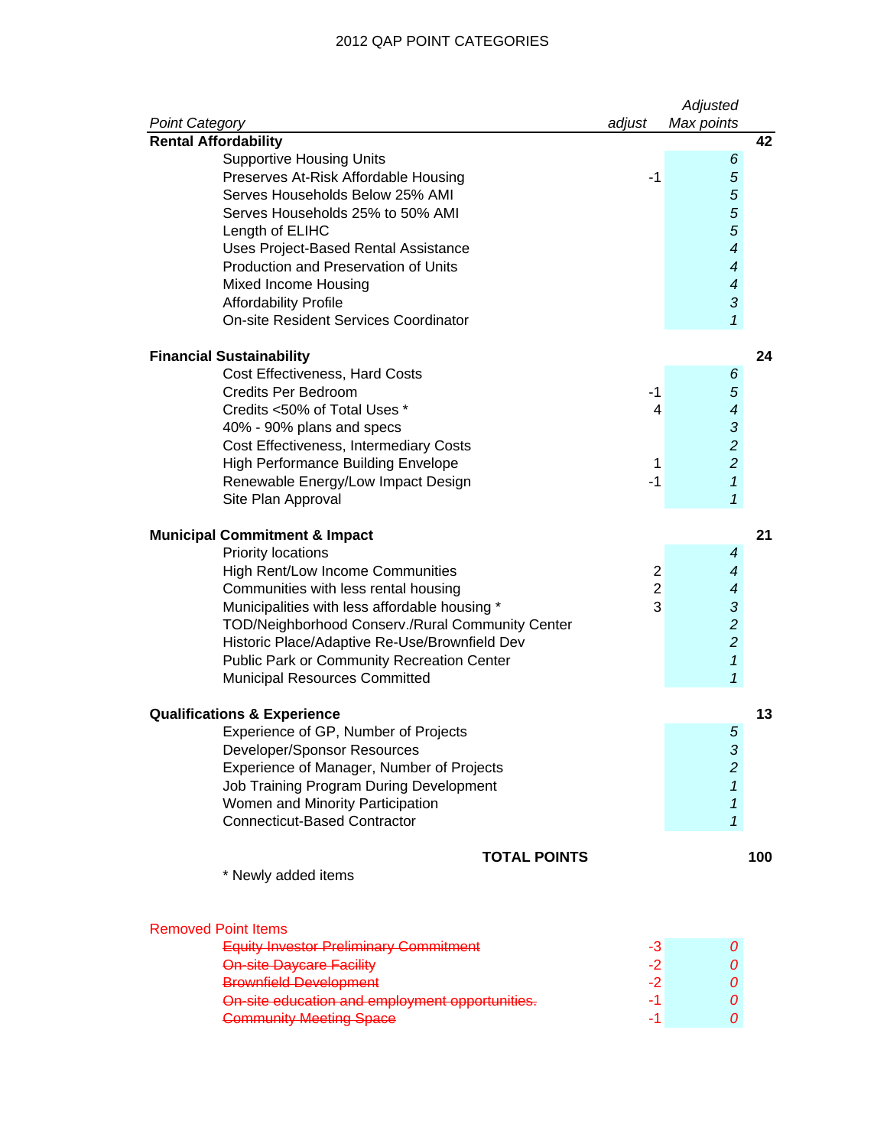## 2012 QAP POINT CATEGORIES

|                                                   |                | Adjusted                 |     |
|---------------------------------------------------|----------------|--------------------------|-----|
| <b>Point Category</b>                             | adjust         | Max points               |     |
| <b>Rental Affordability</b>                       |                |                          | 42  |
| <b>Supportive Housing Units</b>                   |                | 6                        |     |
| Preserves At-Risk Affordable Housing              | $-1$           | 5                        |     |
| Serves Households Below 25% AMI                   |                | 5                        |     |
| Serves Households 25% to 50% AMI                  |                | 5                        |     |
| Length of ELIHC                                   |                | 5                        |     |
| Uses Project-Based Rental Assistance              |                | $\overline{\mathcal{A}}$ |     |
| Production and Preservation of Units              |                | $\overline{\mathcal{A}}$ |     |
| Mixed Income Housing                              |                | $\boldsymbol{4}$         |     |
| <b>Affordability Profile</b>                      |                | 3                        |     |
| <b>On-site Resident Services Coordinator</b>      |                | $\mathbf{1}$             |     |
| <b>Financial Sustainability</b>                   |                |                          | 24  |
| Cost Effectiveness, Hard Costs                    |                | 6                        |     |
| <b>Credits Per Bedroom</b>                        | -1             |                          |     |
| Credits <50% of Total Uses *                      |                | 5                        |     |
|                                                   | $\overline{4}$ | 4                        |     |
| 40% - 90% plans and specs                         |                | 3                        |     |
| Cost Effectiveness, Intermediary Costs            |                | $\overline{c}$           |     |
| <b>High Performance Building Envelope</b>         | 1              | $\overline{c}$           |     |
| Renewable Energy/Low Impact Design                | $-1$           | $\mathbf{1}$             |     |
| Site Plan Approval                                |                | $\mathbf{1}$             |     |
| <b>Municipal Commitment &amp; Impact</b>          |                |                          | 21  |
| <b>Priority locations</b>                         |                | 4                        |     |
| <b>High Rent/Low Income Communities</b>           | 2              | $\boldsymbol{4}$         |     |
| Communities with less rental housing              | $\overline{2}$ | 4                        |     |
| Municipalities with less affordable housing *     | 3              | $\sqrt{3}$               |     |
| TOD/Neighborhood Conserv./Rural Community Center  |                | $\overline{c}$           |     |
| Historic Place/Adaptive Re-Use/Brownfield Dev     |                | $\overline{c}$           |     |
| <b>Public Park or Community Recreation Center</b> |                | 1                        |     |
| <b>Municipal Resources Committed</b>              |                | 1                        |     |
| <b>Qualifications &amp; Experience</b>            |                |                          | 13  |
| Experience of GP, Number of Projects              |                | 5                        |     |
| Developer/Sponsor Resources                       |                | 3                        |     |
| Experience of Manager, Number of Projects         |                | $\overline{c}$           |     |
| Job Training Program During Development           |                | $\mathbf{1}$             |     |
| Women and Minority Participation                  |                | $\mathbf{1}$             |     |
| <b>Connecticut-Based Contractor</b>               |                | 1                        |     |
|                                                   |                |                          |     |
| <b>TOTAL POINTS</b><br>* Newly added items        |                |                          | 100 |
|                                                   |                |                          |     |
| <b>Removed Point Items</b>                        |                |                          |     |
| <b>Equity Investor Preliminary Commitment</b>     | -3             | 0                        |     |
| On-site Daycare Facility                          | $-2$           | 0                        |     |
| <b>Brownfield Development</b>                     | $-2$           | 0                        |     |
| On-site education and employment opportunities.   | $-1$           |                          |     |
| <b>Community Meeting Space</b>                    | -1             | 0<br>0                   |     |
|                                                   |                |                          |     |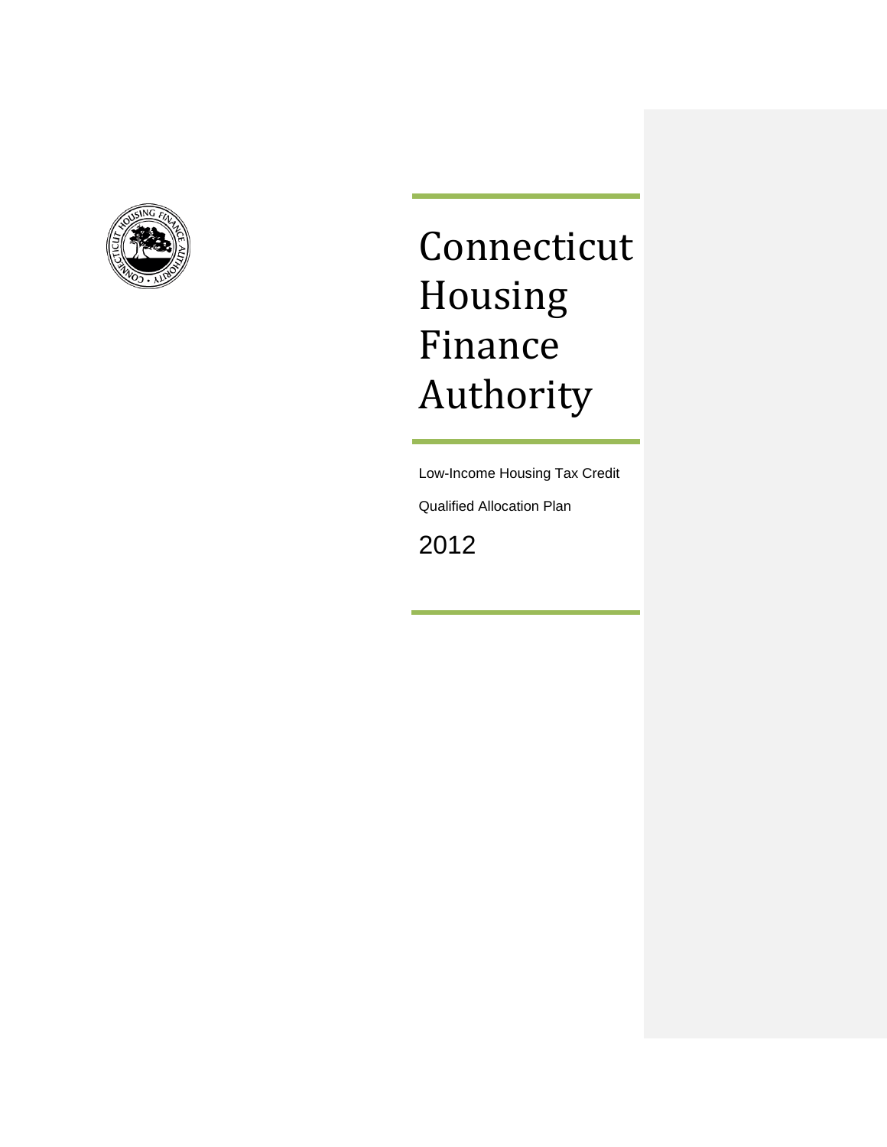

# Connecticut Housing Finance Authority

Low-Income Housing Tax Credit

Qualified Allocation Plan

2012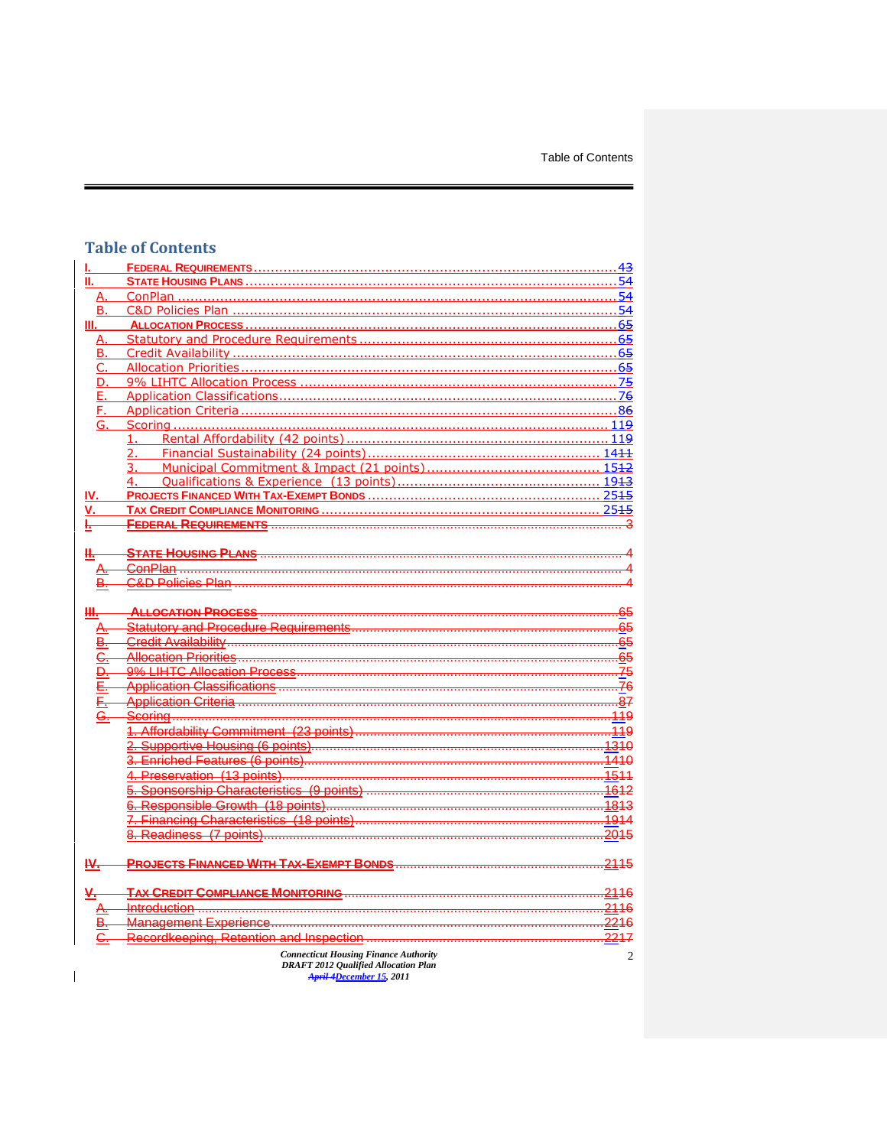Table of Contents

## **Table of Contents**

|         |                                                                                                                                           | 4 <sub>3</sub>   |  |
|---------|-------------------------------------------------------------------------------------------------------------------------------------------|------------------|--|
| Ш.      |                                                                                                                                           | 54               |  |
| A.      |                                                                                                                                           | 54               |  |
| В.      |                                                                                                                                           |                  |  |
| Ш.      |                                                                                                                                           |                  |  |
| А.      |                                                                                                                                           |                  |  |
| В.      |                                                                                                                                           |                  |  |
| C.      |                                                                                                                                           | 65               |  |
| D.      |                                                                                                                                           |                  |  |
| Е.      |                                                                                                                                           |                  |  |
| F.      |                                                                                                                                           |                  |  |
| G.      |                                                                                                                                           |                  |  |
|         | 1.                                                                                                                                        |                  |  |
|         | 2.                                                                                                                                        |                  |  |
|         | 3.                                                                                                                                        |                  |  |
|         | 4.                                                                                                                                        |                  |  |
| IV.     |                                                                                                                                           |                  |  |
| v.      |                                                                                                                                           |                  |  |
|         |                                                                                                                                           |                  |  |
|         |                                                                                                                                           |                  |  |
| ₩.      |                                                                                                                                           |                  |  |
| А.      |                                                                                                                                           |                  |  |
|         |                                                                                                                                           |                  |  |
| ₩.      |                                                                                                                                           |                  |  |
|         |                                                                                                                                           |                  |  |
|         |                                                                                                                                           | 65               |  |
| в.      |                                                                                                                                           | 65               |  |
| G.<br>Ð |                                                                                                                                           | 65               |  |
|         |                                                                                                                                           | 75               |  |
|         |                                                                                                                                           | 76               |  |
| F,      |                                                                                                                                           | .87              |  |
| G.      | Scoring                                                                                                                                   | 119              |  |
|         |                                                                                                                                           | 449<br>1310      |  |
|         |                                                                                                                                           |                  |  |
|         |                                                                                                                                           | 1410             |  |
|         |                                                                                                                                           | 1511             |  |
|         |                                                                                                                                           | 1612             |  |
|         |                                                                                                                                           | 1813             |  |
|         |                                                                                                                                           | $\frac{1}{1914}$ |  |
|         |                                                                                                                                           | .2015            |  |
| ₩       | <b>PROJECTS FINANCED WITH TAX-EXEMPT BONDS</b>                                                                                            | 2115             |  |
|         |                                                                                                                                           |                  |  |
| ₩.      |                                                                                                                                           | 2116             |  |
|         | Introduction                                                                                                                              | 2116             |  |
| В.      |                                                                                                                                           | 2216             |  |
| е.      |                                                                                                                                           | <del>2217</del>  |  |
|         | <b>Connecticut Housing Finance Authority</b><br>$\overline{c}$<br><b>DRAFT 2012 Qualified Allocation Plan</b><br>April 4December 15, 2011 |                  |  |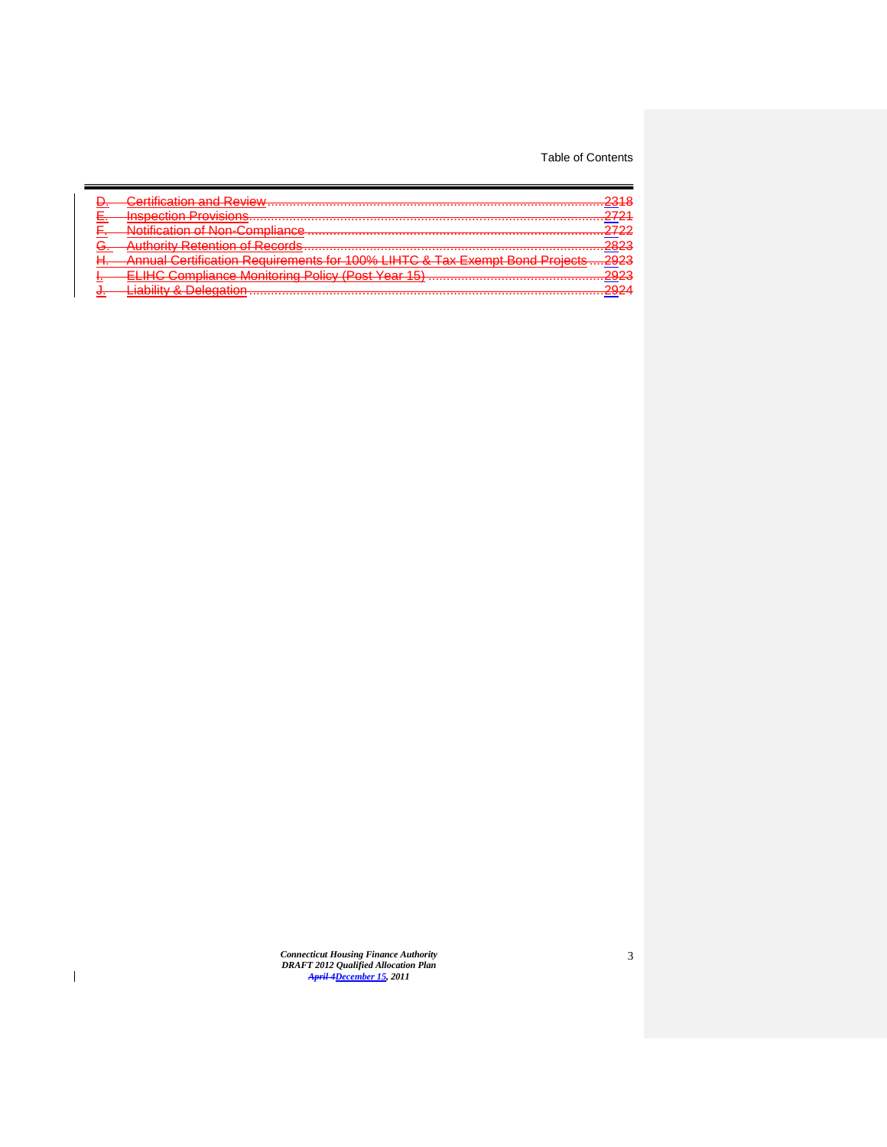## Table of Contents

| Certification and Review                                                                                                       | <b>OQ10</b> |
|--------------------------------------------------------------------------------------------------------------------------------|-------------|
| Inepaction Provisione                                                                                                          |             |
|                                                                                                                                |             |
|                                                                                                                                | റാറാ        |
| Annual Certification Requirements for 100% LIHTC & Tax Exempt Bond Projects2923                                                |             |
| ELIHO Compliance Monitoring Policy (Post Year 15)                                                                              |             |
| Lightlift & Dologation<br><u> Liability &amp; Dologation <del>minimum minimum minimum minimum minimum minimum mini</del>mu</u> |             |

*Connecticut Housing Finance Authority DRAFT 2012 Qualified Allocation Plan April 4December 15, 2011*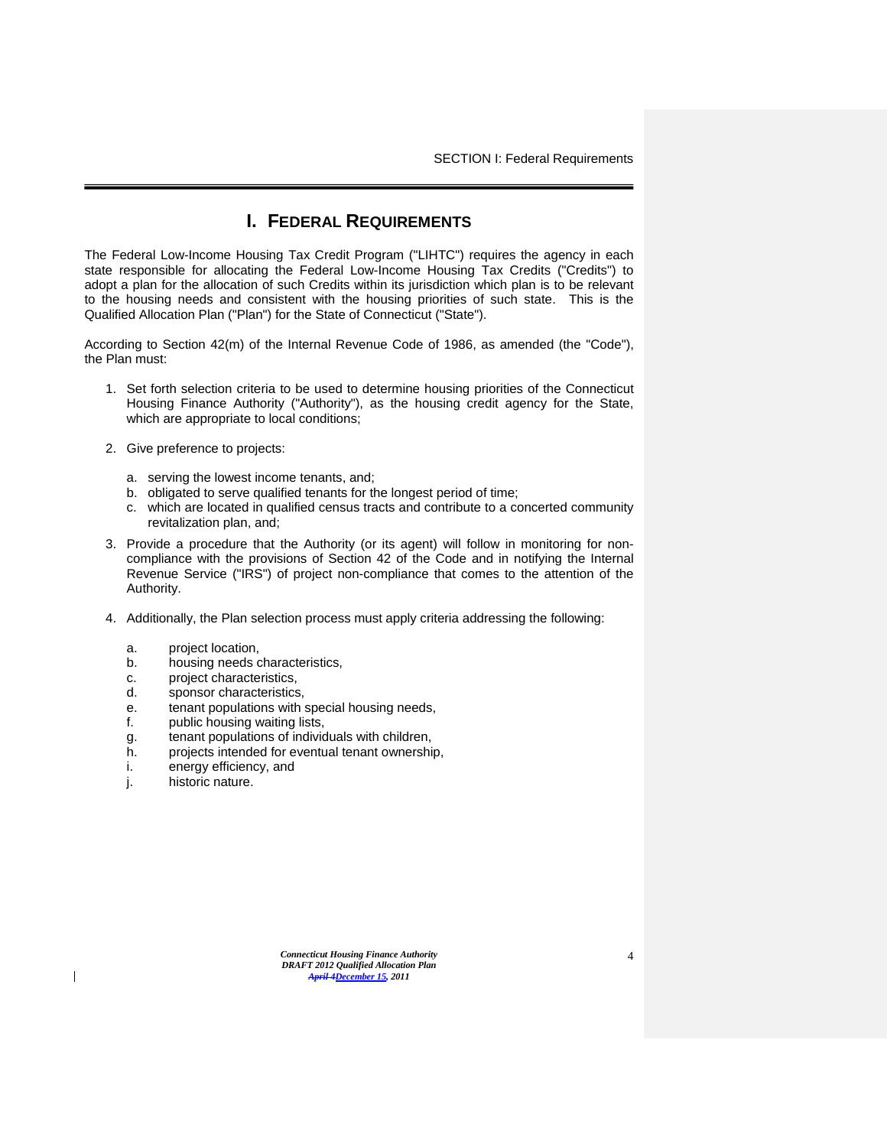SECTION I: Federal Requirements

## **I. FEDERAL REQUIREMENTS**

<span id="page-4-0"></span>The Federal Low-Income Housing Tax Credit Program ("LIHTC") requires the agency in each state responsible for allocating the Federal Low-Income Housing Tax Credits ("Credits") to adopt a plan for the allocation of such Credits within its jurisdiction which plan is to be relevant to the housing needs and consistent with the housing priorities of such state. This is the Qualified Allocation Plan ("Plan") for the State of Connecticut ("State").

According to Section 42(m) of the Internal Revenue Code of 1986, as amended (the "Code"), the Plan must:

- 1. Set forth selection criteria to be used to determine housing priorities of the Connecticut Housing Finance Authority ("Authority"), as the housing credit agency for the State, which are appropriate to local conditions;
- 2. Give preference to projects:
	- a. serving the lowest income tenants, and;
	- b. obligated to serve qualified tenants for the longest period of time;
	- c. which are located in qualified census tracts and contribute to a concerted community revitalization plan, and;
- 3. Provide a procedure that the Authority (or its agent) will follow in monitoring for noncompliance with the provisions of Section 42 of the Code and in notifying the Internal Revenue Service ("IRS") of project non-compliance that comes to the attention of the Authority.
- 4. Additionally, the Plan selection process must apply criteria addressing the following:
	- a. project location,<br>b. housing needs o
		- b. housing needs characteristics,
	- c. project characteristics,
	- d. sponsor characteristics,
	- e. tenant populations with special housing needs,
	- f. public housing waiting lists,
	- g. tenant populations of individuals with children,
	- h. projects intended for eventual tenant ownership,
	- i. energy efficiency, and
	- j. historic nature.

 $\overline{\phantom{a}}$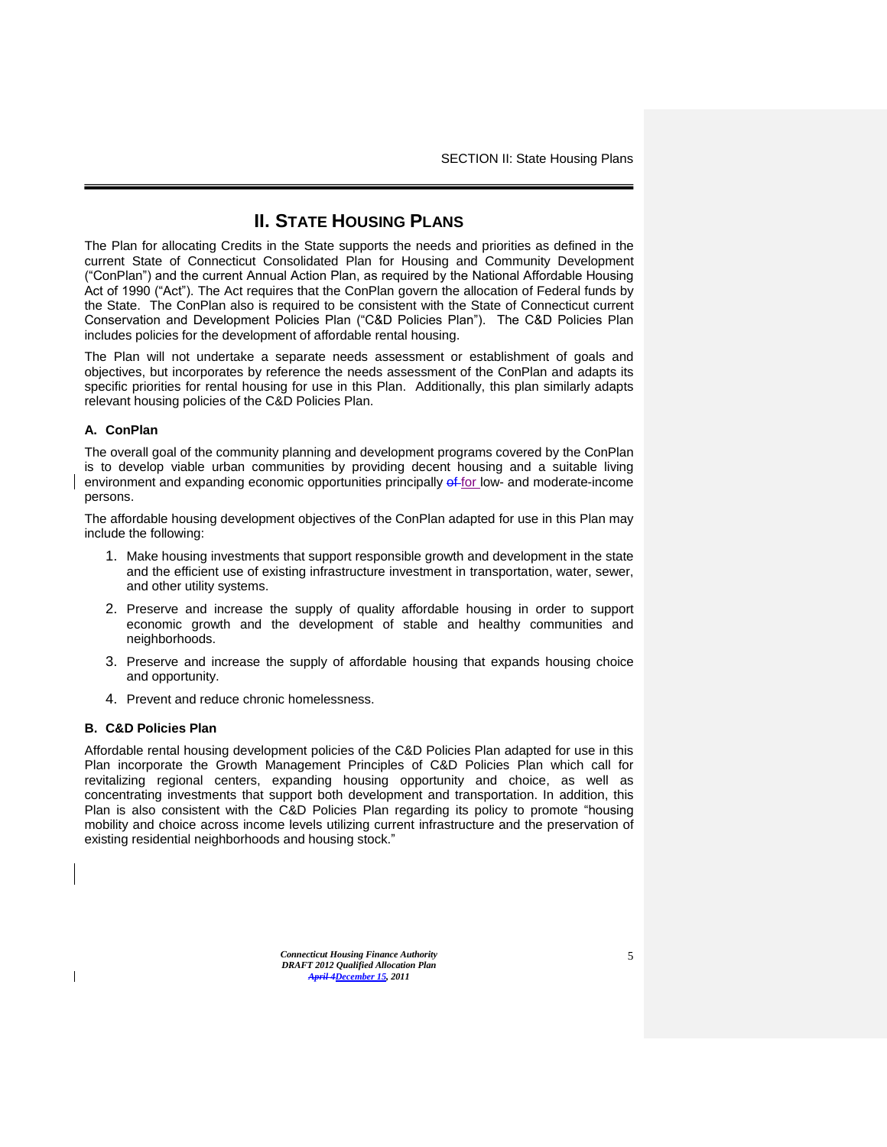SECTION II: State Housing Plans

## **II. STATE HOUSING PLANS**

<span id="page-5-0"></span>The Plan for allocating Credits in the State supports the needs and priorities as defined in the current State of Connecticut Consolidated Plan for Housing and Community Development ("ConPlan") and the current Annual Action Plan, as required by the National Affordable Housing Act of 1990 ("Act"). The Act requires that the ConPlan govern the allocation of Federal funds by the State. The ConPlan also is required to be consistent with the State of Connecticut current Conservation and Development Policies Plan ("C&D Policies Plan"). The C&D Policies Plan includes policies for the development of affordable rental housing.

The Plan will not undertake a separate needs assessment or establishment of goals and objectives, but incorporates by reference the needs assessment of the ConPlan and adapts its specific priorities for rental housing for use in this Plan. Additionally, this plan similarly adapts relevant housing policies of the C&D Policies Plan.

#### <span id="page-5-1"></span>**A. ConPlan**

The overall goal of the community planning and development programs covered by the ConPlan is to develop viable urban communities by providing decent housing and a suitable living environment and expanding economic opportunities principally ef-for low- and moderate-income persons.

The affordable housing development objectives of the ConPlan adapted for use in this Plan may include the following:

- 1. Make housing investments that support responsible growth and development in the state and the efficient use of existing infrastructure investment in transportation, water, sewer, and other utility systems.
- 2. Preserve and increase the supply of quality affordable housing in order to support economic growth and the development of stable and healthy communities and neighborhoods.
- 3. Preserve and increase the supply of affordable housing that expands housing choice and opportunity.
- 4. Prevent and reduce chronic homelessness.

#### <span id="page-5-2"></span>**B. C&D Policies Plan**

Affordable rental housing development policies of the C&D Policies Plan adapted for use in this Plan incorporate the Growth Management Principles of C&D Policies Plan which call for revitalizing regional centers, expanding housing opportunity and choice, as well as concentrating investments that support both development and transportation. In addition, this Plan is also consistent with the C&D Policies Plan regarding its policy to promote "housing mobility and choice across income levels utilizing current infrastructure and the preservation of existing residential neighborhoods and housing stock."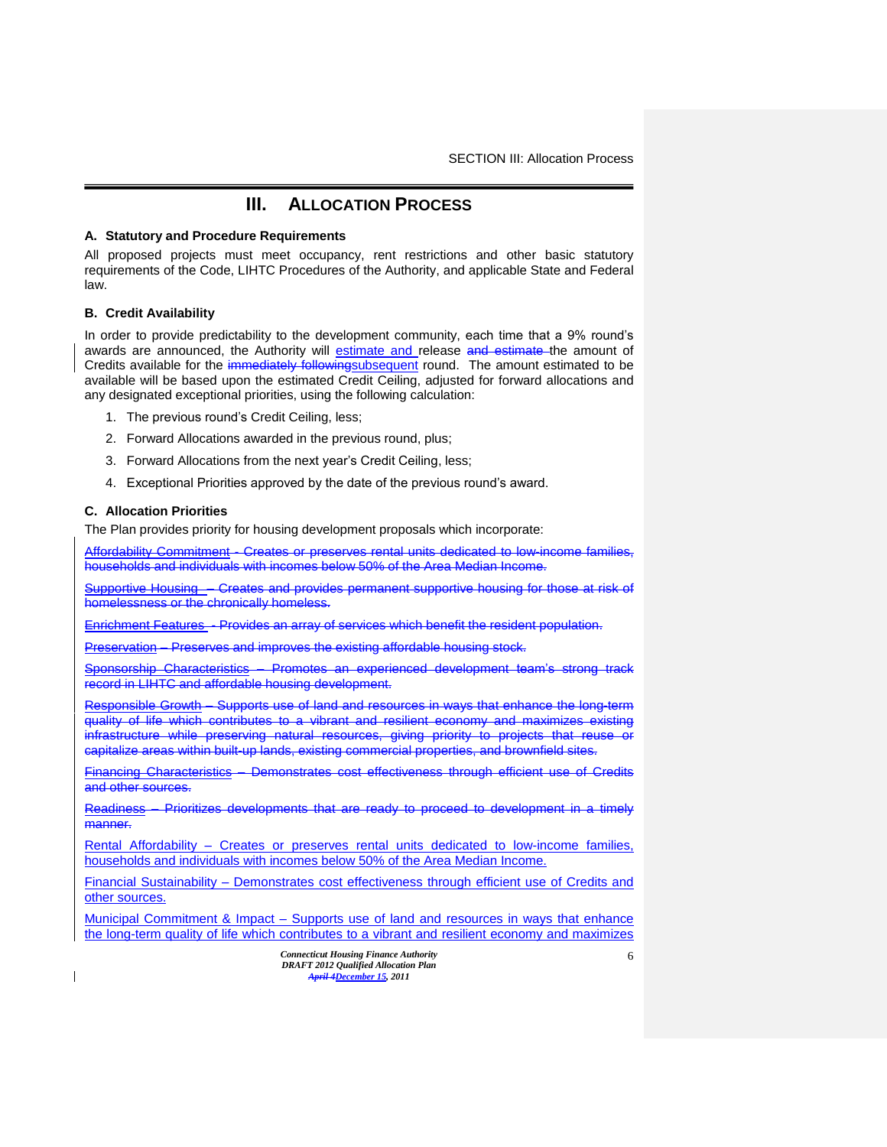## **III. ALLOCATION PROCESS**

#### <span id="page-6-1"></span><span id="page-6-0"></span>**A. Statutory and Procedure Requirements**

All proposed projects must meet occupancy, rent restrictions and other basic statutory requirements of the Code, LIHTC Procedures of the Authority, and applicable State and Federal law.

#### <span id="page-6-2"></span>**B. Credit Availability**

In order to provide predictability to the development community, each time that a 9% round's awards are announced, the Authority will estimate and release and estimate the amount of Credits available for the immediately followingsubsequent round. The amount estimated to be available will be based upon the estimated Credit Ceiling, adjusted for forward allocations and any designated exceptional priorities, using the following calculation:

- 1. The previous round's Credit Ceiling, less;
- 2. Forward Allocations awarded in the previous round, plus;
- 3. Forward Allocations from the next year's Credit Ceiling, less;
- 4. Exceptional Priorities approved by the date of the previous round's award.

#### <span id="page-6-3"></span>**C. Allocation Priorities**

The Plan provides priority for housing development proposals which incorporate:

Affordability Commitment - Creates or preserves rental units dedicated to low-income families, households and individuals with incomes below 50% of the Area Median Income.

Supportive Housing – Creates and provides permanent supportive housing for those at risk of homelessness or the chronically homeless.

Enrichment Features - Provides an array of services which benefit the resident population.

Preservation – Preserves and improves the existing affordable housing stock.

Sponsorship Characteristics – Promotes an experienced development team's strong track record in LIHTC and affordable housing development.

Responsible Growth – Supports use of land and resources in ways that enhance the long-term quality of life which contributes to a vibrant and resilient economy and maximizes existing infrastructure while preserving natural resources, giving priority to projects that reuse or capitalize areas within built-up lands, existing commercial properties, and brownfield sites.

Financing Characteristics – Demonstrates cost effectiveness through efficient use of Credits and other sources.

Readiness – Prioritizes developments that are ready to proceed to development in a timely manner.

Rental Affordability – Creates or preserves rental units dedicated to low-income families, households and individuals with incomes below 50% of the Area Median Income.

Financial Sustainability – Demonstrates cost effectiveness through efficient use of Credits and other sources.

Municipal Commitment & Impact – Supports use of land and resources in ways that enhance the long-term quality of life which contributes to a vibrant and resilient economy and maximizes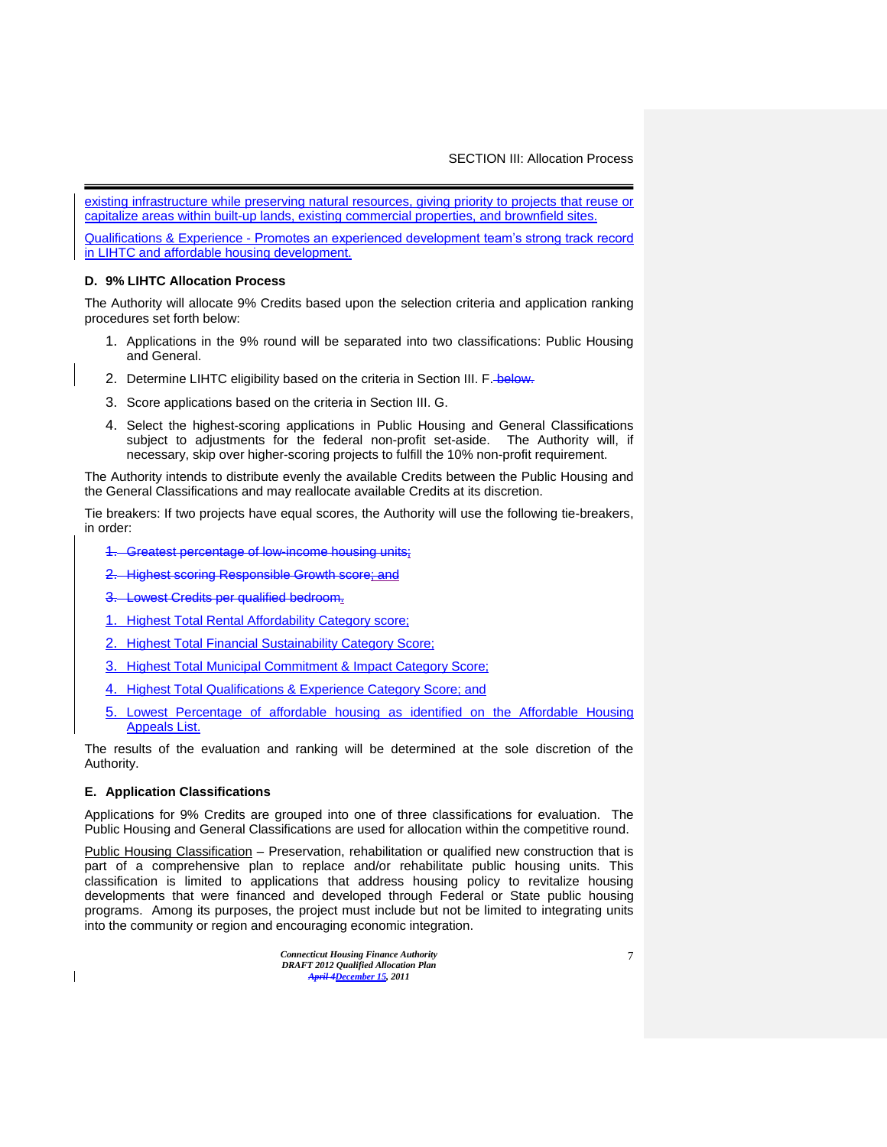existing infrastructure while preserving natural resources, giving priority to projects that reuse or capitalize areas within built-up lands, existing commercial properties, and brownfield sites.

Qualifications & Experience - Promotes an experienced development team's strong track record in LIHTC and affordable housing development.

#### <span id="page-7-0"></span>**D. 9% LIHTC Allocation Process**

The Authority will allocate 9% Credits based upon the selection criteria and application ranking procedures set forth below:

- 1. Applications in the 9% round will be separated into two classifications: Public Housing and General.
- 2. Determine LIHTC eligibility based on the criteria in Section III. F.-below.
- 3. Score applications based on the criteria in Section III. G.
- 4. Select the highest-scoring applications in Public Housing and General Classifications subject to adjustments for the federal non-profit set-aside. The Authority will, if necessary, skip over higher-scoring projects to fulfill the 10% non-profit requirement.

The Authority intends to distribute evenly the available Credits between the Public Housing and the General Classifications and may reallocate available Credits at its discretion.

Tie breakers: If two projects have equal scores, the Authority will use the following tie-breakers, in order:

- 1. Greatest percentage of low-income housing units;
- 2. Highest scoring Responsible Growth score; and
- 3. Lowest Credits per qualified bedroom.
- 1. Highest Total Rental Affordability Category score;
- 2. Highest Total Financial Sustainability Category Score;
- 3. Highest Total Municipal Commitment & Impact Category Score;
- 4. Highest Total Qualifications & Experience Category Score; and
- 5. Lowest Percentage of affordable housing as identified on the Affordable Housing Appeals List.

The results of the evaluation and ranking will be determined at the sole discretion of the Authority.

#### <span id="page-7-1"></span>**E. Application Classifications**

Applications for 9% Credits are grouped into one of three classifications for evaluation. The Public Housing and General Classifications are used for allocation within the competitive round.

Public Housing Classification – Preservation, rehabilitation or qualified new construction that is part of a comprehensive plan to replace and/or rehabilitate public housing units. This classification is limited to applications that address housing policy to revitalize housing developments that were financed and developed through Federal or State public housing programs. Among its purposes, the project must include but not be limited to integrating units into the community or region and encouraging economic integration.

*Connecticut Housing Finance Authority DRAFT 2012 Qualified Allocation Plan April 4December 15, 2011*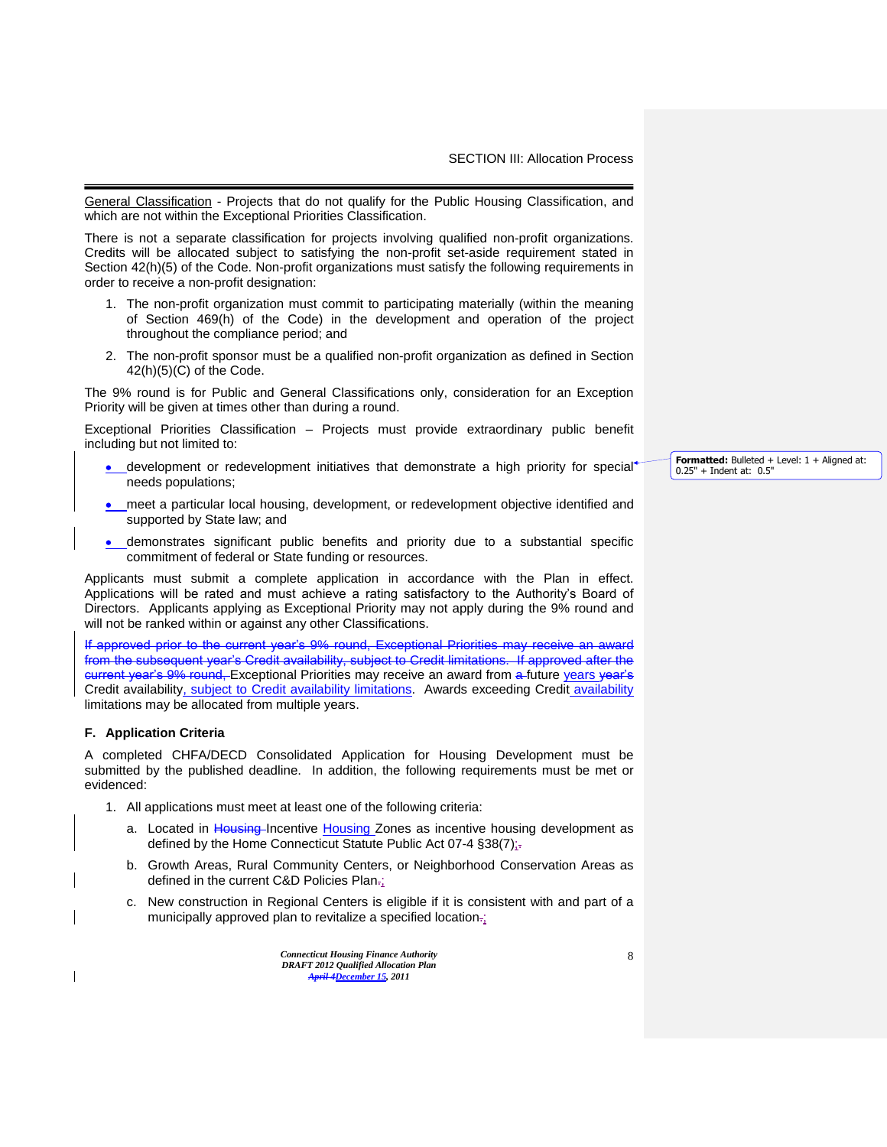General Classification - Projects that do not qualify for the Public Housing Classification, and which are not within the Exceptional Priorities Classification.

There is not a separate classification for projects involving qualified non-profit organizations. Credits will be allocated subject to satisfying the non-profit set-aside requirement stated in Section 42(h)(5) of the Code. Non-profit organizations must satisfy the following requirements in order to receive a non-profit designation:

- 1. The non-profit organization must commit to participating materially (within the meaning of Section 469(h) of the Code) in the development and operation of the project throughout the compliance period; and
- 2. The non-profit sponsor must be a qualified non-profit organization as defined in Section  $42(h)(5)(C)$  of the Code.

The 9% round is for Public and General Classifications only, consideration for an Exception Priority will be given at times other than during a round.

Exceptional Priorities Classification – Projects must provide extraordinary public benefit including but not limited to:

- development or redevelopment initiatives that demonstrate a high priority for special<sup>\*</sup>  $\bullet$ needs populations;
- meet a particular local housing, development, or redevelopment objective identified and supported by State law; and
- demonstrates significant public benefits and priority due to a substantial specific commitment of federal or State funding or resources.

Applicants must submit a complete application in accordance with the Plan in effect. Applications will be rated and must achieve a rating satisfactory to the Authority's Board of Directors. Applicants applying as Exceptional Priority may not apply during the 9% round and will not be ranked within or against any other Classifications.

If approved prior to the current year's 9% round, Exceptional Priorities may receive an award from the subsequent year's Credit availability, subject to Credit limitations. If approved after the current year's 9% round, Exceptional Priorities may receive an award from a future years year's Credit availability, subject to Credit availability limitations. Awards exceeding Credit availability limitations may be allocated from multiple years.

#### <span id="page-8-0"></span>**F. Application Criteria**

A completed CHFA/DECD Consolidated Application for Housing Development must be submitted by the published deadline. In addition, the following requirements must be met or evidenced:

- 1. All applications must meet at least one of the following criteria:
	- a. Located in Housing-Incentive Housing Zones as incentive housing development as defined by the Home Connecticut Statute Public Act 07-4 §38(7);-
	- b. Growth Areas, Rural Community Centers, or Neighborhood Conservation Areas as defined in the current C&D Policies Plan-;
	- c. New construction in Regional Centers is eligible if it is consistent with and part of a municipally approved plan to revitalize a specified location.;

*Connecticut Housing Finance Authority DRAFT 2012 Qualified Allocation Plan April 4December 15, 2011*

**Formatted:** Bulleted + Level: 1 + Aligned at: 0.25" + Indent at: 0.5"

8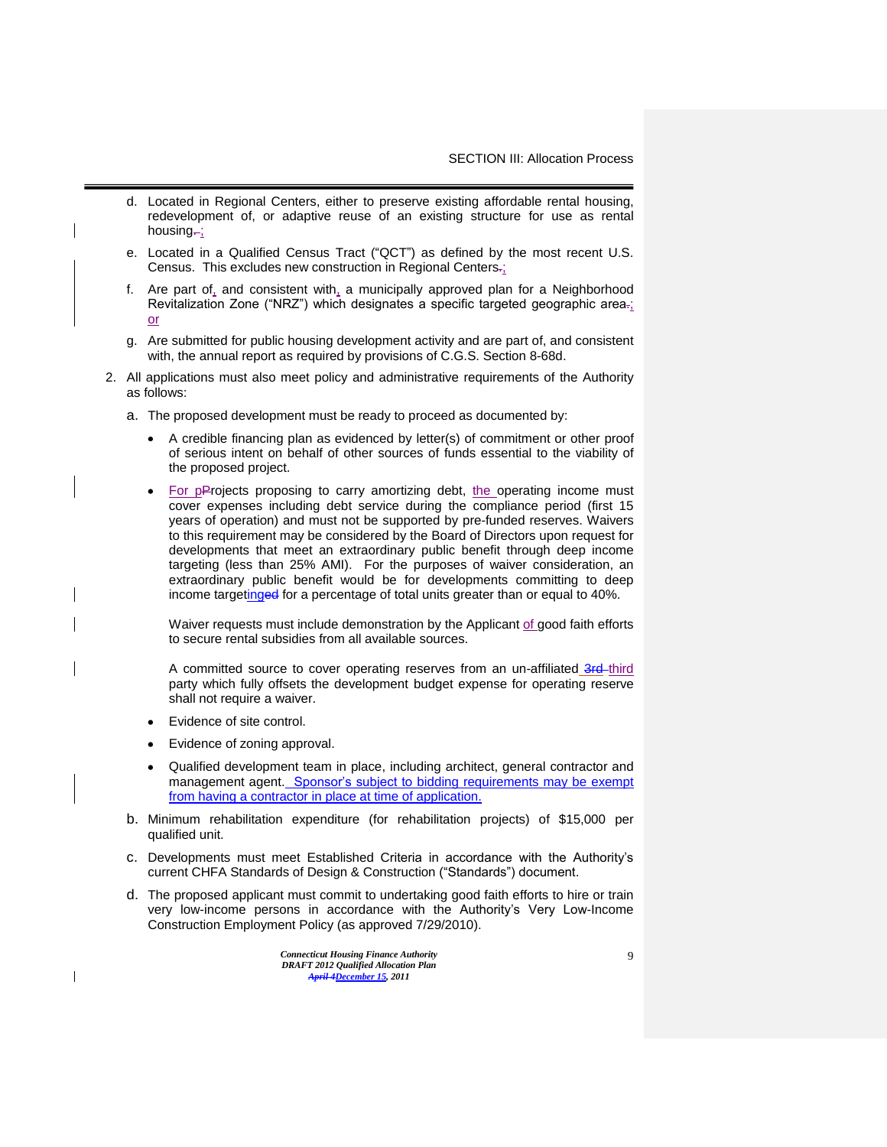- d. Located in Regional Centers, either to preserve existing affordable rental housing, redevelopment of, or adaptive reuse of an existing structure for use as rental housing $\div$ ;
- e. Located in a Qualified Census Tract ("QCT") as defined by the most recent U.S. Census. This excludes new construction in Regional Centers.;
- f. Are part of, and consistent with, a municipally approved plan for a Neighborhood Revitalization Zone ("NRZ") which designates a specific targeted geographic area.; or
- g. Are submitted for public housing development activity and are part of, and consistent with, the annual report as required by provisions of C.G.S. Section 8-68d.
- 2. All applications must also meet policy and administrative requirements of the Authority as follows:
	- a. The proposed development must be ready to proceed as documented by:
		- $\bullet$ A credible financing plan as evidenced by letter(s) of commitment or other proof of serious intent on behalf of other sources of funds essential to the viability of the proposed project.
		- For pProjects proposing to carry amortizing debt, the operating income must cover expenses including debt service during the compliance period (first 15 years of operation) and must not be supported by pre-funded reserves. Waivers to this requirement may be considered by the Board of Directors upon request for developments that meet an extraordinary public benefit through deep income targeting (less than 25% AMI). For the purposes of waiver consideration, an extraordinary public benefit would be for developments committing to deep income targetinged for a percentage of total units greater than or equal to 40%.

Waiver requests must include demonstration by the Applicant of good faith efforts to secure rental subsidies from all available sources.

A committed source to cover operating reserves from an un-affiliated 3rd-third party which fully offsets the development budget expense for operating reserve shall not require a waiver.

- Evidence of site control.
- Evidence of zoning approval.
- Qualified development team in place, including architect, general contractor and management agent. Sponsor's subject to bidding requirements may be exempt from having a contractor in place at time of application.
- b. Minimum rehabilitation expenditure (for rehabilitation projects) of \$15,000 per qualified unit.
- c. Developments must meet Established Criteria in accordance with the Authority's current CHFA Standards of Design & Construction ("Standards") document.
- d. The proposed applicant must commit to undertaking good faith efforts to hire or train very low-income persons in accordance with the Authority's Very Low-Income Construction Employment Policy (as approved 7/29/2010).

*Connecticut Housing Finance Authority DRAFT 2012 Qualified Allocation Plan April 4December 15, 2011*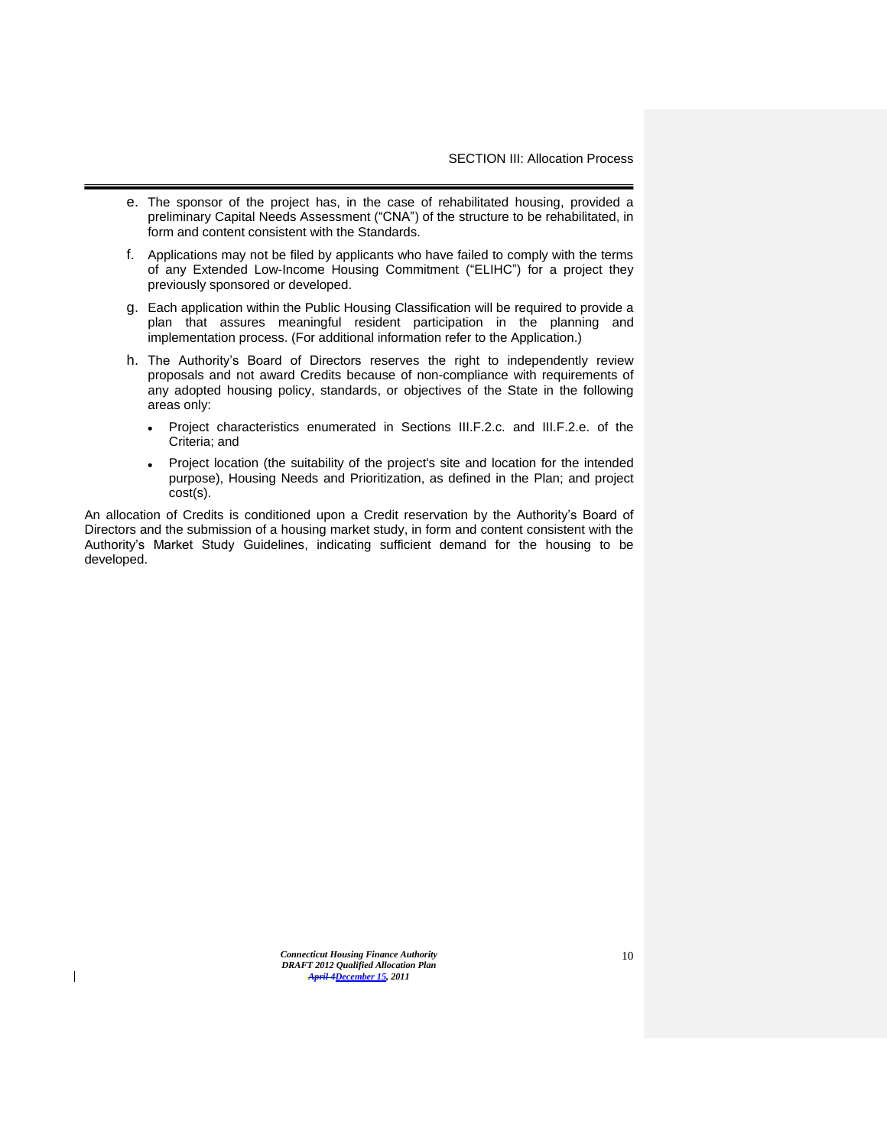- e. The sponsor of the project has, in the case of rehabilitated housing, provided a preliminary Capital Needs Assessment ("CNA") of the structure to be rehabilitated, in form and content consistent with the Standards.
- f. Applications may not be filed by applicants who have failed to comply with the terms of any Extended Low-Income Housing Commitment ("ELIHC") for a project they previously sponsored or developed.
- g. Each application within the Public Housing Classification will be required to provide a plan that assures meaningful resident participation in the planning and implementation process. (For additional information refer to the Application.)
- h. The Authority's Board of Directors reserves the right to independently review proposals and not award Credits because of non-compliance with requirements of any adopted housing policy, standards, or objectives of the State in the following areas only:
	- Project characteristics enumerated in Sections III.F.2.c. and III.F.2.e. of the  $\bullet$ Criteria; and
	- Project location (the suitability of the project's site and location for the intended purpose), Housing Needs and Prioritization, as defined in the Plan; and project cost(s).

An allocation of Credits is conditioned upon a Credit reservation by the Authority's Board of Directors and the submission of a housing market study, in form and content consistent with the Authority's Market Study Guidelines, indicating sufficient demand for the housing to be developed.

> *Connecticut Housing Finance Authority DRAFT 2012 Qualified Allocation Plan April 4December 15, 2011*

 $\overline{\phantom{a}}$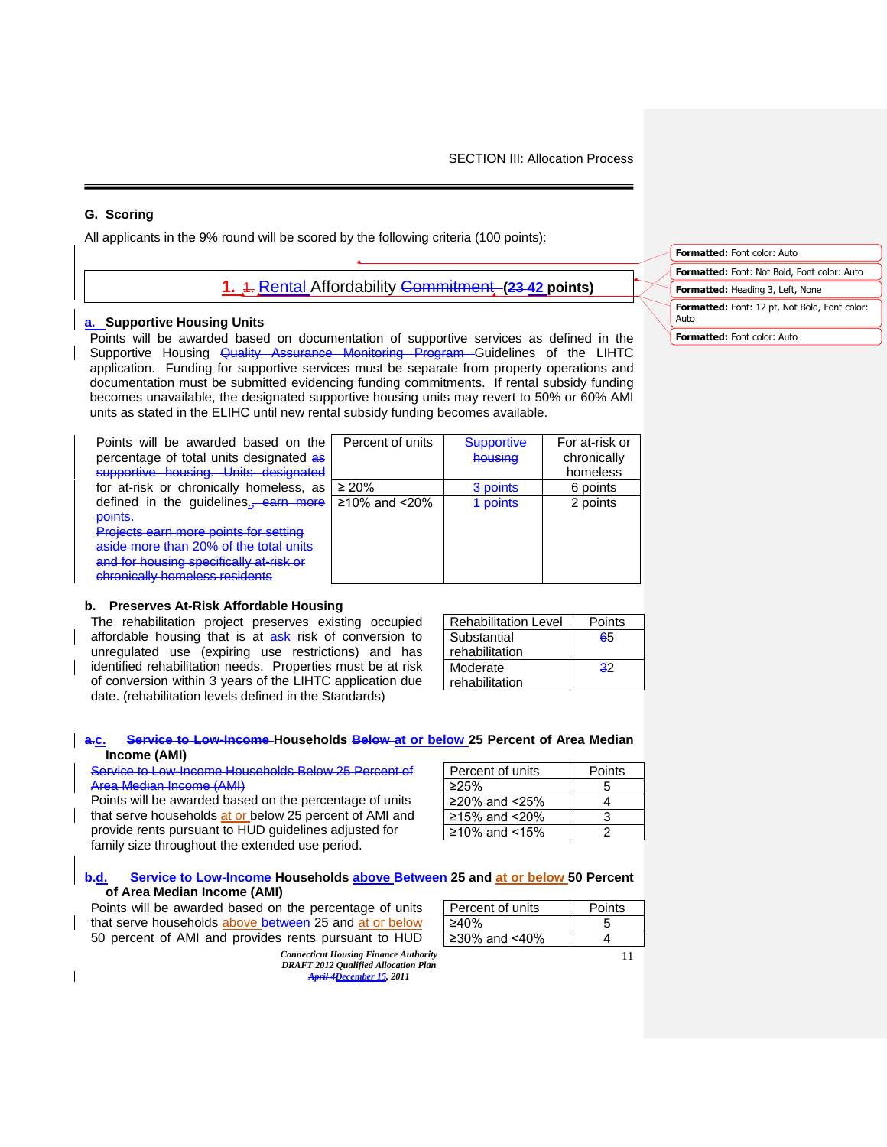## <span id="page-11-0"></span>**G. Scoring**

 $\mathsf{P}$ 

 $\mathsf{l}$ 

All applicants in the 9% round will be scored by the following criteria (100 points):

## <span id="page-11-1"></span>**1.** 1. Rental Affordability Commitment **(23 42 points)**

#### **a. Supportive Housing Units**

Points will be awarded based on documentation of supportive services as defined in the Supportive Housing Quality Assurance Monitoring Program Guidelines of the LIHTC application. Funding for supportive services must be separate from property operations and documentation must be submitted evidencing funding commitments. If rental subsidy funding becomes unavailable, the designated supportive housing units may revert to 50% or 60% AMI units as stated in the ELIHC until new rental subsidy funding becomes available.

| Points will be awarded based on the               | Percent of units | <b>Supportive</b> | For at-risk o |
|---------------------------------------------------|------------------|-------------------|---------------|
| percentage of total units designated as           |                  | housing           | chronically   |
| supportive housing. Units designated              |                  |                   | homeless      |
| for at-risk or chronically homeless, as           | $\geq 20\%$      | 3 points          | 6 points      |
| defined in the guidelines. <del>, earn more</del> | ≥10% and $<$ 20% | 4 points          | 2 points      |
| points.                                           |                  |                   |               |
| Projects earn more points for setting             |                  |                   |               |
| aside more than 20% of the total units            |                  |                   |               |
| and for housing specifically at-risk or           |                  |                   |               |
| chronically homeless residents                    |                  |                   |               |

#### **b. Preserves At-Risk Affordable Housing**

The rehabilitation project preserves existing occupied affordable housing that is at ask-risk of conversion to unregulated use (expiring use restrictions) and has identified rehabilitation needs. Properties must be at risk of conversion within 3 years of the LIHTC application due date. (rehabilitation levels defined in the Standards)

| <b>Rehabilitation Level</b> | Points |
|-----------------------------|--------|
| Substantial                 | 65     |
| rehabilitation              |        |
| Moderate                    | 32     |
| rehabilitation              |        |
|                             |        |

#### **a.c. Service to Low-Income Households Below at or below 25 Percent of Area Median Income (AMI)**

Service to Low-Income Households Below 25 Percent of Area Median Income (AMI)

Points will be awarded based on the percentage of units that serve households at or below 25 percent of AMI and provide rents pursuant to HUD guidelines adjusted for family size throughout the extended use period.

| Percent of units  | Points |
|-------------------|--------|
| $>25\%$           | 5      |
| ≥20% and <25%     |        |
| ≥15% and $< 20\%$ | з      |
| ≥10% and <15%     |        |

#### **b.d. Service to Low-Income Households above Between 25 and at or below 50 Percent of Area Median Income (AMI)**

Points will be awarded based on the percentage of units that serve households above between 25 and at or below 50 percent of AMI and provides rents pursuant to HUD

| <b>Connecticut Housing Finance Authority</b> |
|----------------------------------------------|
| <b>DRAFT 2012 Oualified Allocation Plan</b>  |
| <b>April 4December 15, 2011</b>              |

| Percent of units | Points |
|------------------|--------|
| ≥40%             | 5      |
| ≥30% and <40%    |        |
|                  |        |

or

| <b>Formatted: Font color: Auto</b>                    |
|-------------------------------------------------------|
| Formatted: Font: Not Bold, Font color: Auto           |
| <b>Formatted:</b> Heading 3, Left, None               |
| Formatted: Font: 12 pt, Not Bold, Font color:<br>Auto |
| <b>Formatted: Font color: Auto</b>                    |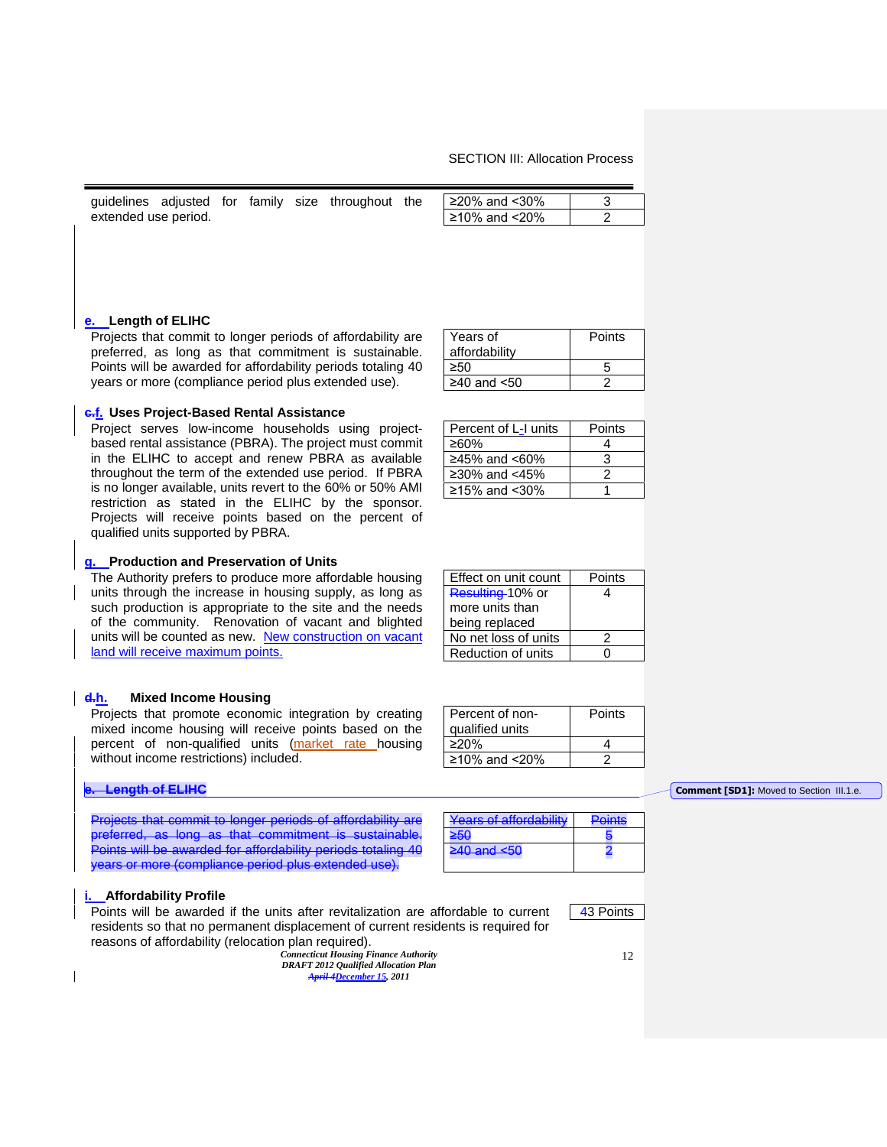guidelines adjusted for family size throughout the extended use period.

| ≥20% and <30%    |  |
|------------------|--|
| ≥10% and $<$ 20% |  |

 $\geq 50$  5  $\geq 40$  and <50 2

Percent of L-I units | Points ≥60% 4  $≥45%$  and <60% | 3  $≥30\%$  and  $<45\%$  2  $≥15%$  and <30% | 1

Effect on unit count  $\|$  Points

No net loss of units | 2 Reduction of units  $\begin{bmatrix} 0 \\ 0 \end{bmatrix}$ 

 $\geq 20\%$  4 ≥10% and <20%  $\sqrt{2}$ 

Resulting 10% or more units than being replaced

Percent of nonqualified units

**Points** 

4

Points

Years of affordability

### **e. Length of ELIHC**

Projects that commit to longer periods of affordability are preferred, as long as that commitment is sustainable. Points will be awarded for affordability periods totaling 40 years or more (compliance period plus extended use).

#### **c.f. Uses Project-Based Rental Assistance**

Project serves low-income households using projectbased rental assistance (PBRA). The project must commit in the ELIHC to accept and renew PBRA as available throughout the term of the extended use period. If PBRA is no longer available, units revert to the 60% or 50% AMI restriction as stated in the ELIHC by the sponsor. Projects will receive points based on the percent of qualified units supported by PBRA.

#### **g. Production and Preservation of Units**

The Authority prefers to produce more affordable housing units through the increase in housing supply, as long as such production is appropriate to the site and the needs of the community. Renovation of vacant and blighted units will be counted as new. New construction on vacant land will receive maximum points.

#### **d.h. Mixed Income Housing**

Projects that promote economic integration by creating mixed income housing will receive points based on the percent of non-qualified units (market rate housing without income restrictions) included.

#### **e. Length of ELIHC**

**i. Affordability Profile**

 $\overline{\phantom{a}}$ 

that commit to longer periods of affordability preferred, as long as that commitment is sustainable. Points will be awarded for affordability periods totaling years or more (compliance period plus extended use).

| Vagre of affordability<br><del>i cais or anoiuabilit</del> | <b>Dointe</b><br><b>BUTTLETT</b> |
|------------------------------------------------------------|----------------------------------|
|                                                            |                                  |
| $>10$ and $\angle$ 50<br><del>= 10 and ~00</del>           |                                  |

43 Points

**Comment [SD1]:** Moved to Section III.1.e.

12

*Connecticut Housing Finance Authority DRAFT 2012 Qualified Allocation Plan* residents so that no permanent displacement of current residents is required for reasons of affordability (relocation plan required).

*April 4December 15, 2011*

Points will be awarded if the units after revitalization are affordable to current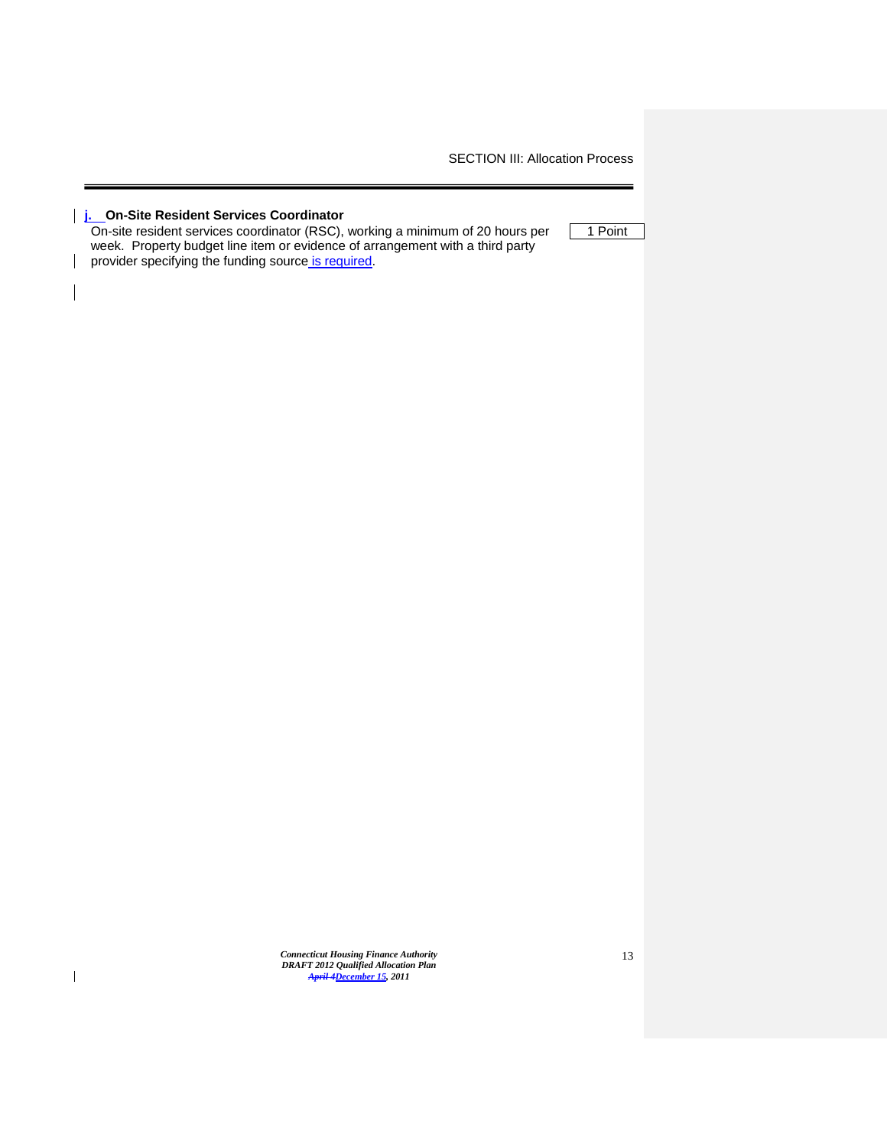## **j. On-Site Resident Services Coordinator**

 $\mathbf{I}$ 

 $\begin{array}{c} \hline \end{array}$ 

On-site resident services coordinator (RSC), working a minimum of 20 hours per week. Property budget line item or evidence of arrangement with a third party provider specifying the funding source is required.

*Connecticut Housing Finance Authority DRAFT 2012 Qualified Allocation Plan April 4December 15, 2011*

1 Point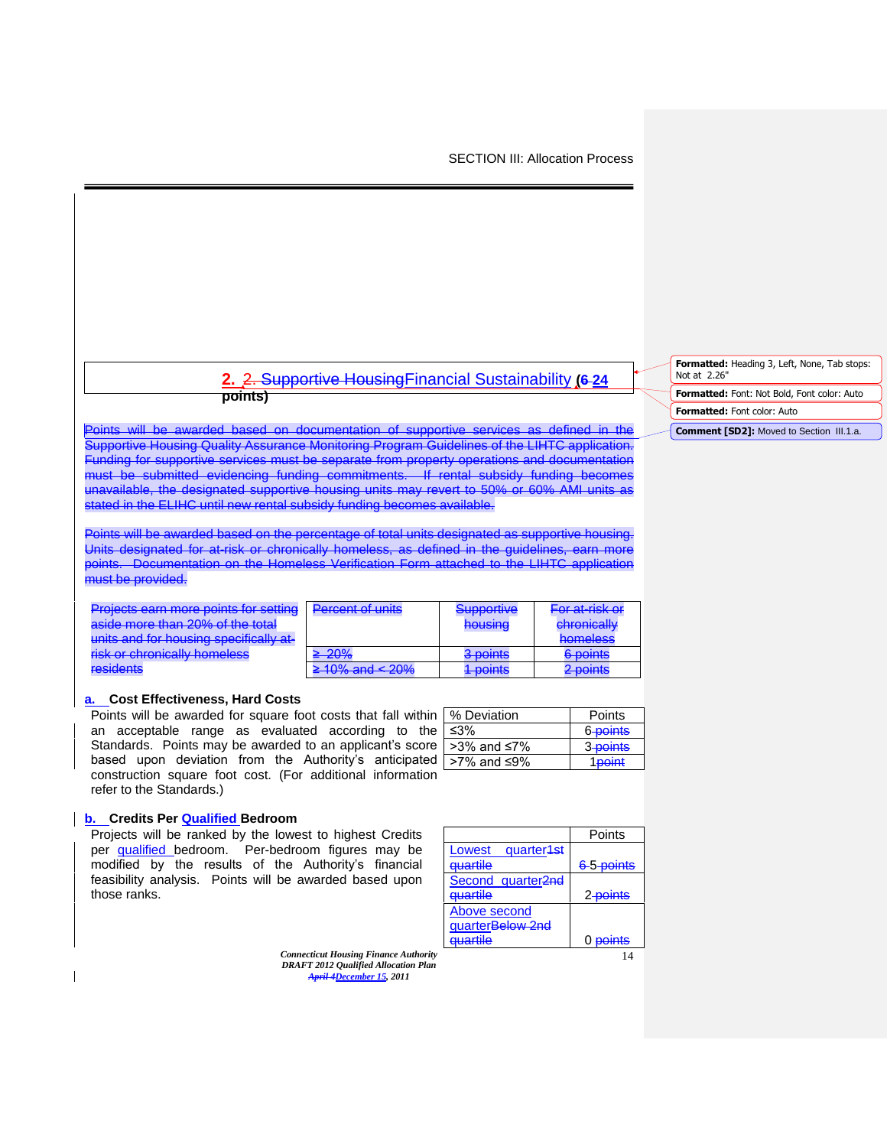## **2.** 2. Supportive HousingFinancial Sustainability **(6 24**

Points will be awarded based on documentation of supportive services as defined in the Supportive Housing Quality Assurance Monitoring Program Guidelines of the LIHTC application. Funding for supportive services must be separate from property operations and documentation must be submitted evidencing funding commitments. If rental subsidy funding becomes unavailable, the designated supportive housing units may revert to 50% or 60% AMI units as stated in the ELIHC until new rental subsidy funding becomes available.

Points will be awarded based on the percentage of total units designated as supportive housing. Units designated for at-risk or chronically homeless, as defined in the guidelines, earn more points. Documentation on the Homeless Verification Form attached to the LIHTC application must be provided.

Projects earn more points for setting aside more than 20% of the total units and for housing specifically atrisk or chronically homeless residents Percent of units **Supportive** ≥ 20% 3 points 6 points  $\geq 10\%$  and  $\leq 20\%$  1 points 2 points

<span id="page-14-0"></span>**points)**

#### **a. Cost Effectiveness, Hard Costs**

Points will be awarded for square foot costs that fall within an acceptable range as evaluated according to the Standards. Points may be awarded to an applicant's score based upon deviation from the Authority's anticipated >7% and ≤9% | 1<del>point</del> construction square foot cost. (For additional information refer to the Standards.)  $>3\%$  and  $\leq 7\%$  3-points

## **b. Credits Per Qualified Bedroom**

Projects will be ranked by the lowest to highest Credits per qualified bedroom. Per-bedroom figures may be modified by the results of the Authority's financial feasibility analysis. Points will be awarded based upon those ranks.

|                               | Points      |
|-------------------------------|-------------|
| Lowest quarter <sup>4st</sup> |             |
| auartile                      | 6-5-points  |
| Second quarter <sub>2nd</sub> |             |
| ملنصصيبه                      | $2$ -points |
| Above second                  |             |
| guarterBelow 2nd              |             |
| auartil                       |             |
|                               |             |

% Deviation | Points ≤3% 6 points

For at-risk or chronically homeless

housing

*Connecticut Housing Finance Authority DRAFT 2012 Qualified Allocation Plan April 4December 15, 2011*

| <b>Formatted:</b> Heading 3, Left, None, Tab stops:<br>Not at 2.26" |
|---------------------------------------------------------------------|
| Formatted: Font: Not Bold, Font color: Auto                         |

**Formatted:** Font color: Auto

**Comment [SD2]:** Moved to Section III.1.a.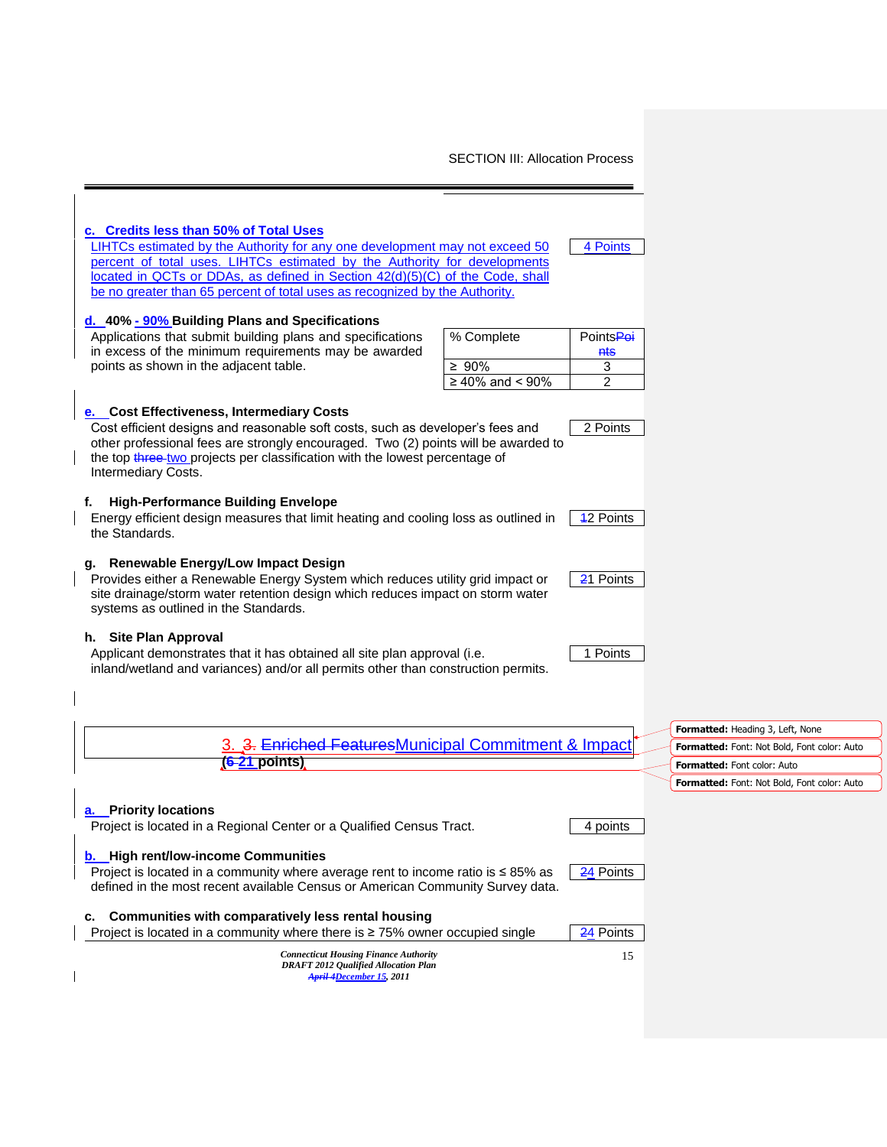<span id="page-15-0"></span>

| c. Credits less than 50% of Total Uses<br>LIHTCs estimated by the Authority for any one development may not exceed 50<br>percent of total uses. LIHTCs estimated by the Authority for developments<br>located in QCTs or DDAs, as defined in Section 42(d)(5)(C) of the Code, shall<br>be no greater than 65 percent of total uses as recognized by the Authority.<br>d. 40% - 90% Building Plans and Specifications | 4 Points                                          |                                                                                               |
|----------------------------------------------------------------------------------------------------------------------------------------------------------------------------------------------------------------------------------------------------------------------------------------------------------------------------------------------------------------------------------------------------------------------|---------------------------------------------------|-----------------------------------------------------------------------------------------------|
| Applications that submit building plans and specifications<br>% Complete<br>in excess of the minimum requirements may be awarded<br>points as shown in the adjacent table.<br>$\geq 90\%$<br>≥ 40% and < 90%                                                                                                                                                                                                         | Points <sub>Poi</sub><br><del>nts</del><br>3<br>2 |                                                                                               |
| e. Cost Effectiveness, Intermediary Costs<br>Cost efficient designs and reasonable soft costs, such as developer's fees and<br>other professional fees are strongly encouraged. Two (2) points will be awarded to<br>the top three-two projects per classification with the lowest percentage of<br>Intermediary Costs.                                                                                              | 2 Points                                          |                                                                                               |
| <b>High-Performance Building Envelope</b><br>t.<br>Energy efficient design measures that limit heating and cooling loss as outlined in<br>the Standards.                                                                                                                                                                                                                                                             | 42 Points                                         |                                                                                               |
| <b>Renewable Energy/Low Impact Design</b><br>Provides either a Renewable Energy System which reduces utility grid impact or<br>site drainage/storm water retention design which reduces impact on storm water<br>systems as outlined in the Standards.                                                                                                                                                               | 21 Points                                         |                                                                                               |
| h. Site Plan Approval<br>Applicant demonstrates that it has obtained all site plan approval (i.e.<br>inland/wetland and variances) and/or all permits other than construction permits.                                                                                                                                                                                                                               | 1 Points                                          |                                                                                               |
|                                                                                                                                                                                                                                                                                                                                                                                                                      |                                                   |                                                                                               |
| 3. 3. Enriched Features Municipal Commitment & Impact                                                                                                                                                                                                                                                                                                                                                                |                                                   | <b>Formatted:</b> Heading 3, Left, None<br><b>Formatted:</b> Font: Not Bold, Font color: Auto |
| <u>(6-21 points)</u>                                                                                                                                                                                                                                                                                                                                                                                                 |                                                   | <b>Formatted: Font color: Auto</b><br><b>Formatted:</b> Font: Not Bold, Font color: Auto      |
| a. Priority locations<br>Project is located in a Regional Center or a Qualified Census Tract.                                                                                                                                                                                                                                                                                                                        | 4 points                                          |                                                                                               |
| <b>b.</b> High rent/low-income Communities<br>Project is located in a community where average rent to income ratio is $\leq$ 85% as<br>defined in the most recent available Census or American Community Survey data.                                                                                                                                                                                                | 24 Points                                         |                                                                                               |
| c. Communities with comparatively less rental housing<br>Project is located in a community where there is ≥ 75% owner occupied single                                                                                                                                                                                                                                                                                | 24 Points                                         |                                                                                               |
| <b>Connecticut Housing Finance Authority</b><br><b>DRAFT 2012 Oualified Allocation Plan</b><br><b>April 4December 15, 2011</b>                                                                                                                                                                                                                                                                                       | 15                                                |                                                                                               |
|                                                                                                                                                                                                                                                                                                                                                                                                                      |                                                   |                                                                                               |

 $\mathbf{I}$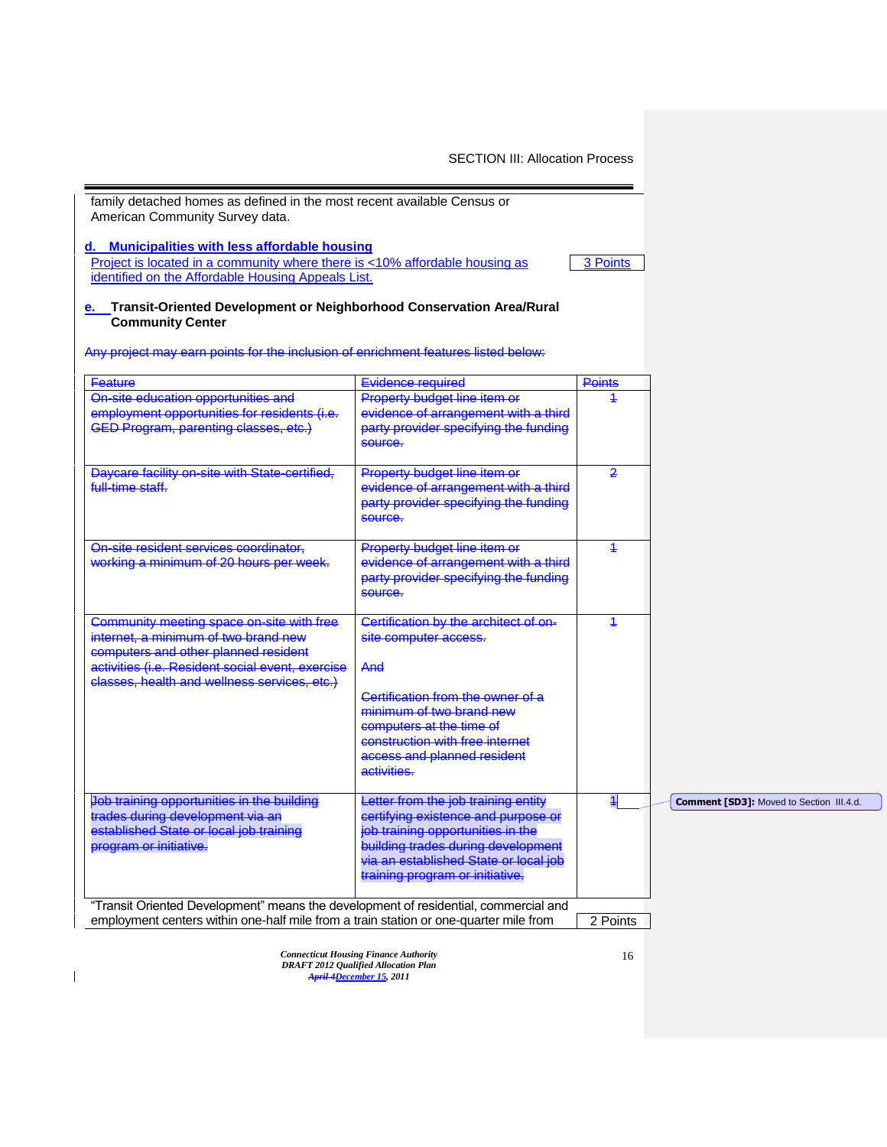| family detached homes as defined in the most recent available Census or<br>American Community Survey data.                                                                                                                                                     |                                                                                                                                                                                                                                   |                         |                                          |
|----------------------------------------------------------------------------------------------------------------------------------------------------------------------------------------------------------------------------------------------------------------|-----------------------------------------------------------------------------------------------------------------------------------------------------------------------------------------------------------------------------------|-------------------------|------------------------------------------|
| d. Municipalities with less affordable housing<br>Project is located in a community where there is <10% affordable housing as<br>identified on the Affordable Housing Appeals List.<br>e. Transit-Oriented Development or Neighborhood Conservation Area/Rural |                                                                                                                                                                                                                                   | 3 Points                |                                          |
| <b>Community Center</b><br>Any project may earn points for the inclusion of enrichment features listed below:                                                                                                                                                  |                                                                                                                                                                                                                                   |                         |                                          |
| <b>Feature</b>                                                                                                                                                                                                                                                 | Evidence required                                                                                                                                                                                                                 | <b>Points</b>           |                                          |
| On-site education opportunities and<br>employment opportunities for residents (i.e.<br><b>GED Program, parenting classes, etc.)</b>                                                                                                                            | Property budget line item or<br>evidence of arrangement with a third<br>party provider specifying the funding<br>source.                                                                                                          | 1                       |                                          |
| Daycare facility on-site with State-certified.<br>full-time staff                                                                                                                                                                                              | Property budget line item or<br>evidence of arrangement with a third<br>party provider specifying the funding<br>source.                                                                                                          | $\overline{2}$          |                                          |
| On-site resident services coordinator.<br>working a minimum of 20 hours per week.                                                                                                                                                                              | <b>Property budget line item or</b><br>evidence of arrangement with a third<br>party provider specifying the funding<br>source.                                                                                                   | $\overline{1}$          |                                          |
| Community meeting space on-site with free<br>internet, a minimum of two brand new<br>computers and other planned resident<br>activities (i.e. Resident social event, exercise<br>classes, health and wellness services, etc.)                                  | Certification by the architect of on-<br>site computer access.<br>And<br>Certification from the owner of a                                                                                                                        | $\overline{1}$          |                                          |
|                                                                                                                                                                                                                                                                | minimum of two brand new<br>computers at the time of<br>construction with free internet<br>access and planned resident<br>activities.                                                                                             |                         |                                          |
| Job training opportunities in the building<br>trades during development via an<br>established State or local job training<br>program or initiative.                                                                                                            | Letter from the job training entity<br>certifying existence and purpose or<br>job training opportunities in the<br>building trades during development<br>via an established State or local job<br>training program or initiative. | $\overline{\mathbf{1}}$ | Comment [SD3]: Moved to Section III.4.d. |
| "Transit Oriented Development" means the development of residential, commercial and<br>employment centers within one-half mile from a train station or one-quarter mile from                                                                                   |                                                                                                                                                                                                                                   | 2 Points                |                                          |

 $\begin{array}{c} \hline \end{array}$ 

16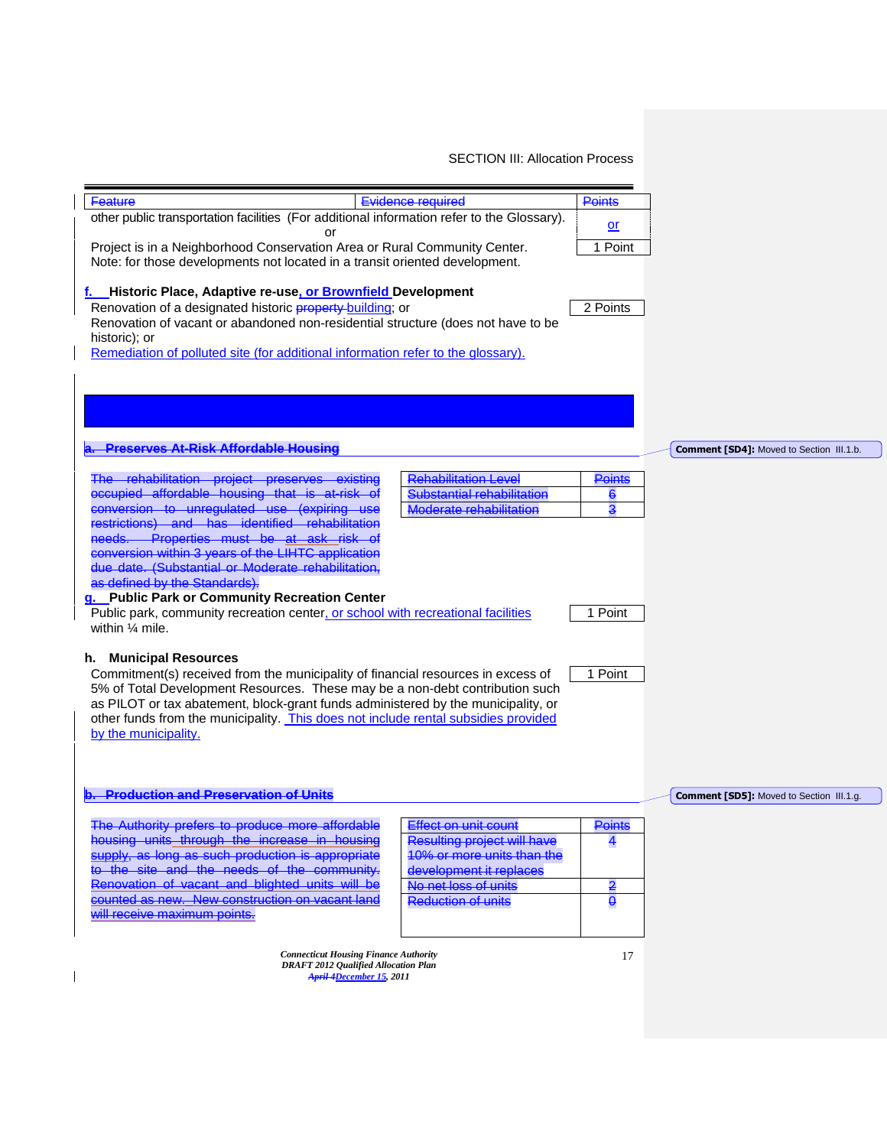| <del>Feature</del>                                                                                                                                                      | Evidence required                                       | <b>Points</b>           |  |  |  |  |  |
|-------------------------------------------------------------------------------------------------------------------------------------------------------------------------|---------------------------------------------------------|-------------------------|--|--|--|--|--|
| other public transportation facilities (For additional information refer to the Glossary).                                                                              |                                                         |                         |  |  |  |  |  |
| or<br>Project is in a Neighborhood Conservation Area or Rural Community Center.                                                                                         |                                                         |                         |  |  |  |  |  |
| 1 Point<br>Note: for those developments not located in a transit oriented development.                                                                                  |                                                         |                         |  |  |  |  |  |
|                                                                                                                                                                         |                                                         |                         |  |  |  |  |  |
| f. Historic Place, Adaptive re-use, or Brownfield Development                                                                                                           |                                                         |                         |  |  |  |  |  |
| Renovation of a designated historic <b>property</b> building; or                                                                                                        |                                                         | 2 Points                |  |  |  |  |  |
| Renovation of vacant or abandoned non-residential structure (does not have to be                                                                                        |                                                         |                         |  |  |  |  |  |
| historic); or<br>Remediation of polluted site (for additional information refer to the glossary).                                                                       |                                                         |                         |  |  |  |  |  |
|                                                                                                                                                                         |                                                         |                         |  |  |  |  |  |
|                                                                                                                                                                         |                                                         |                         |  |  |  |  |  |
|                                                                                                                                                                         |                                                         |                         |  |  |  |  |  |
|                                                                                                                                                                         |                                                         |                         |  |  |  |  |  |
|                                                                                                                                                                         |                                                         |                         |  |  |  |  |  |
| <b>Preserves At-Risk Affordable Housing</b>                                                                                                                             |                                                         |                         |  |  |  |  |  |
|                                                                                                                                                                         |                                                         |                         |  |  |  |  |  |
| The rehabilitation project preserves                                                                                                                                    | <b>Rehabilitation Level</b>                             | <b>Points</b>           |  |  |  |  |  |
| occupied affordable housing that is at-risk                                                                                                                             | Substantial rehabilitation                              | €                       |  |  |  |  |  |
| conversion to unregulated use (expiring<br>restrictions) and has identified rehabilitation                                                                              | Moderate rehabilitation                                 | $\overline{\mathbf{3}}$ |  |  |  |  |  |
| needs. Properties must be at ask risk of                                                                                                                                |                                                         |                         |  |  |  |  |  |
| conversion within 3 years of the LIHTC application                                                                                                                      |                                                         |                         |  |  |  |  |  |
| due date. (Substantial or Moderate rehabilitation.                                                                                                                      |                                                         |                         |  |  |  |  |  |
| as defined by the Standards).                                                                                                                                           |                                                         |                         |  |  |  |  |  |
| g. Public Park or Community Recreation Center                                                                                                                           |                                                         |                         |  |  |  |  |  |
| Public park, community recreation center, or school with recreational facilities<br>1 Point                                                                             |                                                         |                         |  |  |  |  |  |
| within $\frac{1}{4}$ mile.                                                                                                                                              |                                                         |                         |  |  |  |  |  |
|                                                                                                                                                                         |                                                         |                         |  |  |  |  |  |
| <b>Municipal Resources</b><br>h.<br>1 Point                                                                                                                             |                                                         |                         |  |  |  |  |  |
| Commitment(s) received from the municipality of financial resources in excess of<br>5% of Total Development Resources. These may be a non-debt contribution such        |                                                         |                         |  |  |  |  |  |
|                                                                                                                                                                         |                                                         |                         |  |  |  |  |  |
| as PILOT or tax abatement, block-grant funds administered by the municipality, or<br>other funds from the municipality. This does not include rental subsidies provided |                                                         |                         |  |  |  |  |  |
| by the municipality.                                                                                                                                                    |                                                         |                         |  |  |  |  |  |
|                                                                                                                                                                         |                                                         |                         |  |  |  |  |  |
|                                                                                                                                                                         |                                                         |                         |  |  |  |  |  |
|                                                                                                                                                                         |                                                         |                         |  |  |  |  |  |
| <b>Production and Preservation of Units</b>                                                                                                                             |                                                         |                         |  |  |  |  |  |
|                                                                                                                                                                         |                                                         |                         |  |  |  |  |  |
| The Authority prefers to produce more affordable<br><i>increase</i>                                                                                                     | Effect on unit count                                    | Points                  |  |  |  |  |  |
| <del>through the</del><br><del>units</del>                                                                                                                              | <b>Resulting project will have</b><br>10% or more units | 4                       |  |  |  |  |  |
| supply, as long as such production is appropriate<br>and the needs of<br><del>to the site</del><br><del>community</del><br>development it replaces                      |                                                         |                         |  |  |  |  |  |
| Renovation of vacant and blighted units will be                                                                                                                         | No net loss of units                                    | 2                       |  |  |  |  |  |
| counted as new. New construction on vacant land                                                                                                                         | <b>Reduction of units</b>                               | $\overline{\mathbf{Q}}$ |  |  |  |  |  |
| will receive maximum points.                                                                                                                                            |                                                         |                         |  |  |  |  |  |
|                                                                                                                                                                         |                                                         |                         |  |  |  |  |  |
|                                                                                                                                                                         |                                                         |                         |  |  |  |  |  |
| <b>Connecticut Housing Finance Authority</b><br><b>DRAFT 2012 Qualified Allocation Plan</b>                                                                             |                                                         | 17                      |  |  |  |  |  |
| <b>April 4December 15, 2011</b>                                                                                                                                         |                                                         |                         |  |  |  |  |  |

 $\overline{\phantom{a}}$ 

**Comment [SD4]:** Moved to Section III.1.b.

**Comment [SD5]:** Moved to Section III.1.g.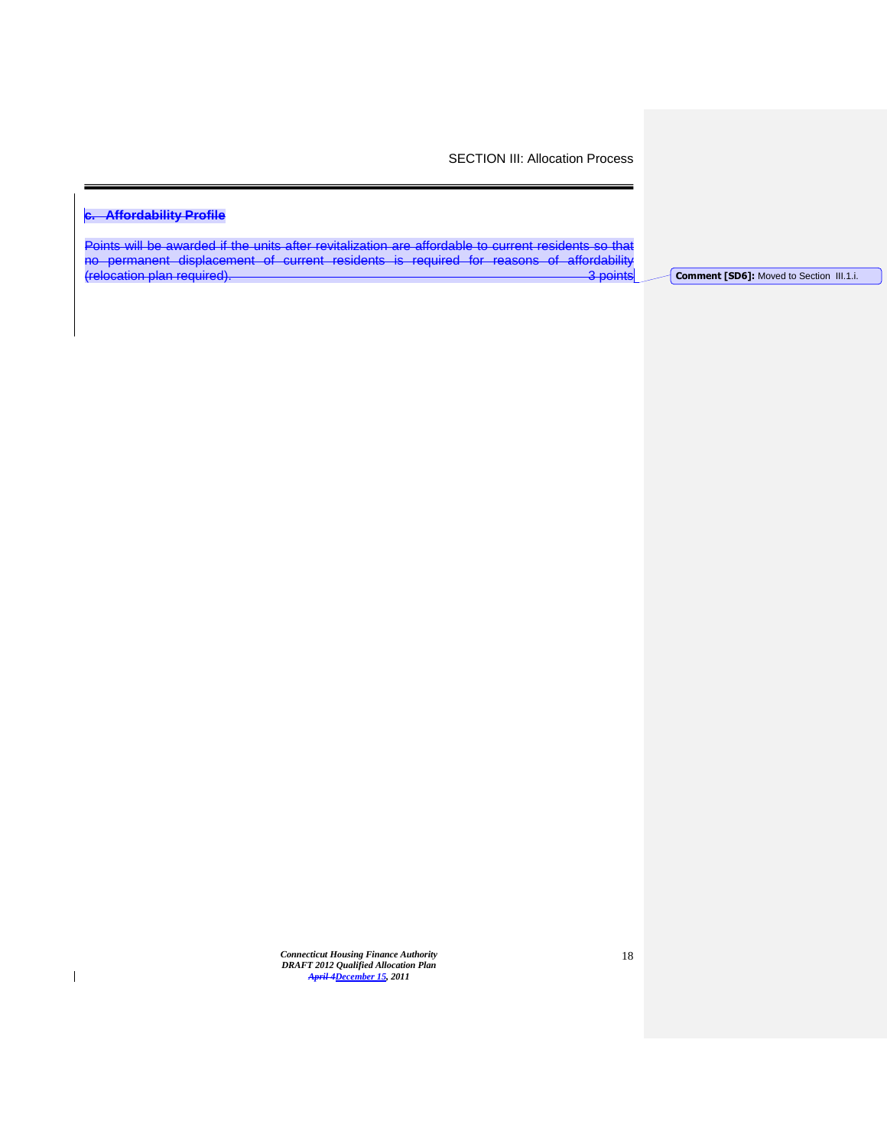## **c. Affordability Profile**

 $\begin{array}{c} \hline \end{array}$ 

Points will be awarded if the units after revitalization are affordable to current residents so that no permanent displacement of current residents is required for reasons of affordability (relocation plan required). 3 points **Comment [SD6]:** Moved to Section III.1.i.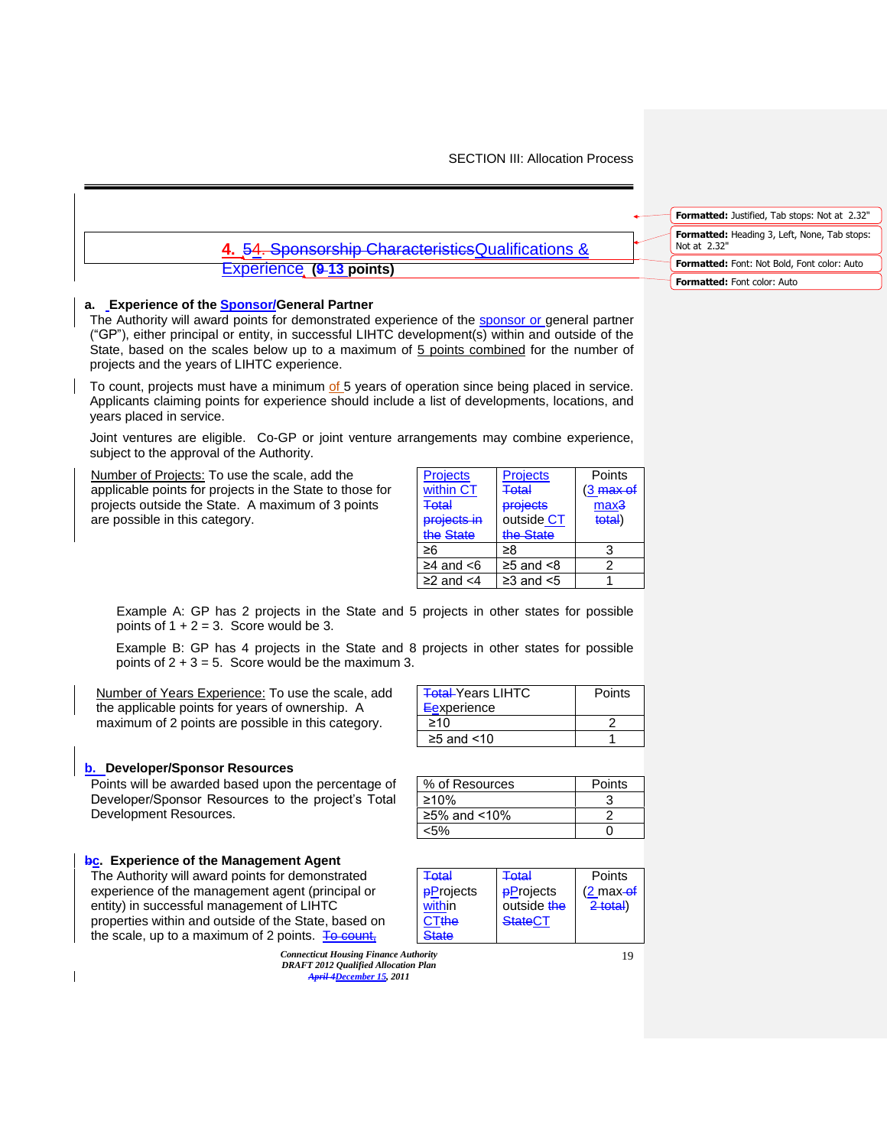<span id="page-19-0"></span>

|                                                                                                                                                                                                                                                                                                                                             |                                                            |                                                                   |                                              | Formatted: Justified, Tab stops: Not at 2.32"                |
|---------------------------------------------------------------------------------------------------------------------------------------------------------------------------------------------------------------------------------------------------------------------------------------------------------------------------------------------|------------------------------------------------------------|-------------------------------------------------------------------|----------------------------------------------|--------------------------------------------------------------|
| 4. 54. Sponsorship Characteristics Qualifications &                                                                                                                                                                                                                                                                                         |                                                            |                                                                   |                                              | Formatted: Heading 3, Left, None, Tab stops:<br>Not at 2.32" |
| Experience (9-13 points)                                                                                                                                                                                                                                                                                                                    |                                                            |                                                                   |                                              | Formatted: Font: Not Bold, Font color: Auto                  |
| a. Experience of the <b>Sponsor/General Partner</b>                                                                                                                                                                                                                                                                                         |                                                            |                                                                   |                                              | Formatted: Font color: Auto                                  |
| The Authority will award points for demonstrated experience of the sponsor or general partner<br>("GP"), either principal or entity, in successful LIHTC development(s) within and outside of the<br>State, based on the scales below up to a maximum of 5 points combined for the number of<br>projects and the years of LIHTC experience. |                                                            |                                                                   |                                              |                                                              |
| To count, projects must have a minimum of 5 years of operation since being placed in service.<br>Applicants claiming points for experience should include a list of developments, locations, and<br>years placed in service.                                                                                                                |                                                            |                                                                   |                                              |                                                              |
| Joint ventures are eligible. Co-GP or joint venture arrangements may combine experience,<br>subject to the approval of the Authority.                                                                                                                                                                                                       |                                                            |                                                                   |                                              |                                                              |
| Number of Projects: To use the scale, add the<br>applicable points for projects in the State to those for<br>projects outside the State. A maximum of 3 points                                                                                                                                                                              | <b>Projects</b><br>within CT<br><b>Total</b>               | <b>Projects</b><br><b>Total</b><br><b>projects</b>                | Points<br>$(3$ max of                        |                                                              |
| are possible in this category.                                                                                                                                                                                                                                                                                                              | projects in<br>the State                                   | outside CT<br>the State                                           | max <sub>3</sub><br>total)                   |                                                              |
|                                                                                                                                                                                                                                                                                                                                             | ≥6                                                         | ≥8                                                                | 3                                            |                                                              |
|                                                                                                                                                                                                                                                                                                                                             | $\geq$ 4 and $\lt$ 6<br>$\geq$ 2 and $<$ 4                 | $\geq$ 5 and $\leq$ 8<br>$\geq$ 3 and <5                          | 2<br>1                                       |                                                              |
| Example A: GP has 2 projects in the State and 5 projects in other states for possible<br>points of $1 + 2 = 3$ . Score would be 3.<br>Example B: GP has 4 projects in the State and 8 projects in other states for possible<br>points of $2 + 3 = 5$ . Score would be the maximum 3.                                                        |                                                            |                                                                   |                                              |                                                              |
| Number of Years Experience: To use the scale, add                                                                                                                                                                                                                                                                                           | <b>Total-Years LIHTC</b>                                   |                                                                   | Points                                       |                                                              |
| the applicable points for years of ownership. A                                                                                                                                                                                                                                                                                             | Eexperience                                                |                                                                   |                                              |                                                              |
| maximum of 2 points are possible in this category.                                                                                                                                                                                                                                                                                          | ≥10                                                        |                                                                   | 2<br>1                                       |                                                              |
|                                                                                                                                                                                                                                                                                                                                             | $\geq$ 5 and <10                                           |                                                                   |                                              |                                                              |
| <b>b.</b> Developer/Sponsor Resources                                                                                                                                                                                                                                                                                                       |                                                            |                                                                   |                                              |                                                              |
| Points will be awarded based upon the percentage of                                                                                                                                                                                                                                                                                         | % of Resources                                             |                                                                   | Points                                       |                                                              |
| Developer/Sponsor Resources to the project's Total<br>Development Resources.                                                                                                                                                                                                                                                                | ≥10%<br>≥5% and <10%                                       |                                                                   | 3<br>$\overline{2}$                          |                                                              |
|                                                                                                                                                                                                                                                                                                                                             | 5%                                                         |                                                                   | 0                                            |                                                              |
|                                                                                                                                                                                                                                                                                                                                             |                                                            |                                                                   |                                              |                                                              |
| <b>bc.</b> Experience of the Management Agent<br>The Authority will award points for demonstrated<br>experience of the management agent (principal or<br>entity) in successful management of LIHTC<br>properties within and outside of the State, based on                                                                                  | <b>Total</b><br><b>P</b> rojects<br>within<br><b>CTthe</b> | <b>Total</b><br><b>P</b> rojects<br>outside the<br><b>StateCT</b> | Points<br>$(2 \text{ max-of})$<br>$2$ total) |                                                              |
| the scale, up to a maximum of 2 points. $\overline{10}$ count,                                                                                                                                                                                                                                                                              | <b>State</b>                                               |                                                                   |                                              |                                                              |
| <b>Connecticut Housing Finance Authority</b><br><b>DRAFT 2012 Qualified Allocation Plan</b><br>April 4December 15, 2011                                                                                                                                                                                                                     |                                                            |                                                                   | 19                                           |                                                              |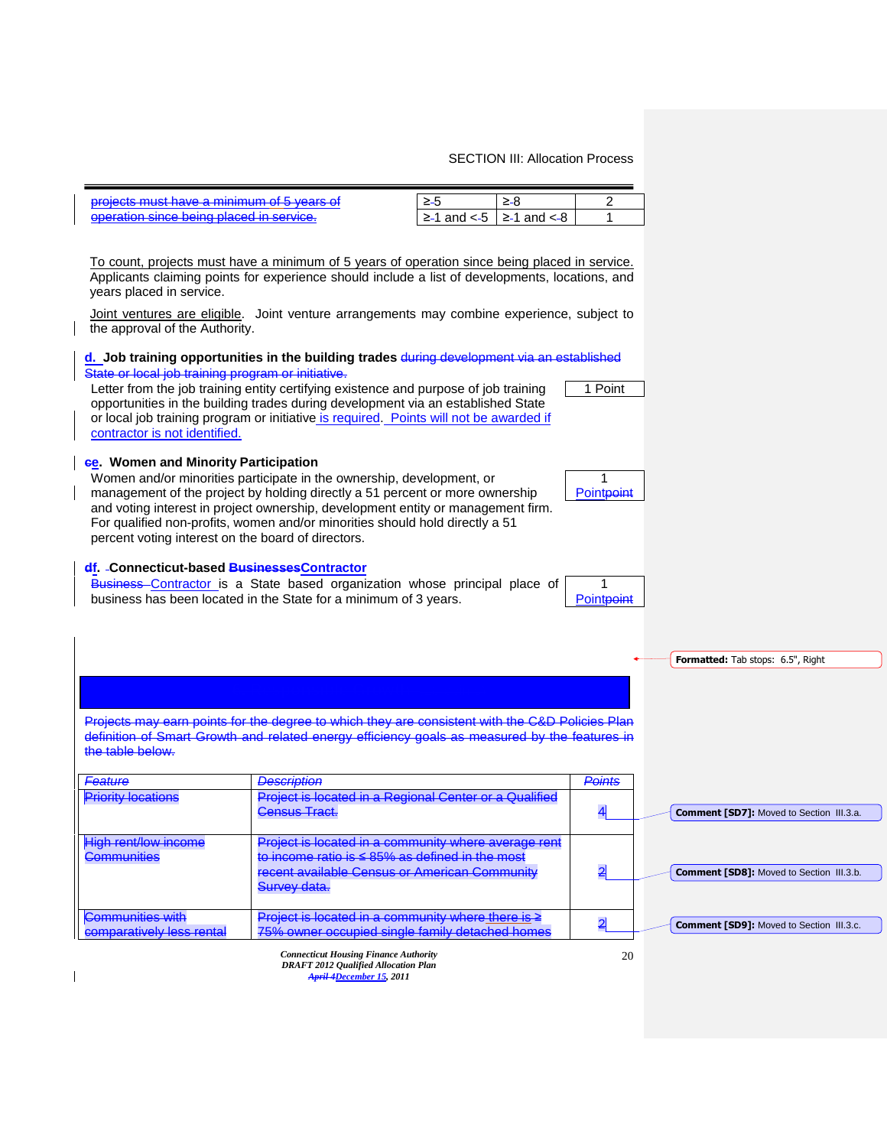| projects must have a minimum of E veare of<br><del>projects must nave a mimmum or o years or</del> |  |  |
|----------------------------------------------------------------------------------------------------|--|--|
| oneration since heing placed in service<br><del>uporation antes boing placed in acrylice.</del>    |  |  |

To count, projects must have a minimum of 5 years of operation since being placed in service. Applicants claiming points for experience should include a list of developments, locations, and years placed in service.

Joint ventures are eligible. Joint venture arrangements may combine experience, subject to the approval of the Authority.

#### **d. Job training opportunities in the building trades** during development via an established State or local job training program or initiative.

Letter from the job training entity certifying existence and purpose of job training opportunities in the building trades during development via an established State or local job training program or initiative is required. Points will not be awarded if contractor is not identified. 1 Point

## **ce. Women and Minority Participation**

Women and/or minorities participate in the ownership, development, or management of the project by holding directly a 51 percent or more ownership and voting interest in project ownership, development entity or management firm. For qualified non-profits, women and/or minorities should hold directly a 51 percent voting interest on the board of directors.

#### **df. Connecticut-based BusinessesContractor**

Business Contractor is a State based organization whose principal place of business has been located in the State for a minimum of 3 years.

| t <del>poınt</del> |
|--------------------|

1 **Point<del>point</del>** 

#### **Formatted:** Tab stops: 6.5", Right

Projects may earn points for the degree to which they are consistent with the C&D Policies Plan definition of Smart Growth and related energy efficiency goals as measured by the features in the table below.

| <b>Feature</b>                                       | <b>Description</b>                                                                                                                                                                       | Points |                                                 |
|------------------------------------------------------|------------------------------------------------------------------------------------------------------------------------------------------------------------------------------------------|--------|-------------------------------------------------|
| <b>Priority locations</b>                            | Project is located in a Regional Center or a Qualified<br>Census Tract.                                                                                                                  |        | <b>Comment [SD7]:</b> Moved to Section III.3.a. |
| High rent/low income<br><b>Communities</b>           | Project is located in a community where average rent<br>to income ratio is $\leq$ 85% as defined in the most<br>recent available Census or American Community<br><del>Survey data.</del> |        | <b>Comment [SD8]:</b> Moved to Section III.3.b. |
| <b>Communities with</b><br>comparatively less rental | Project is located in a community where there is $\geq$<br>75% owner occupied single family detached homes                                                                               |        | <b>Comment [SD9]:</b> Moved to Section III.3.c. |

20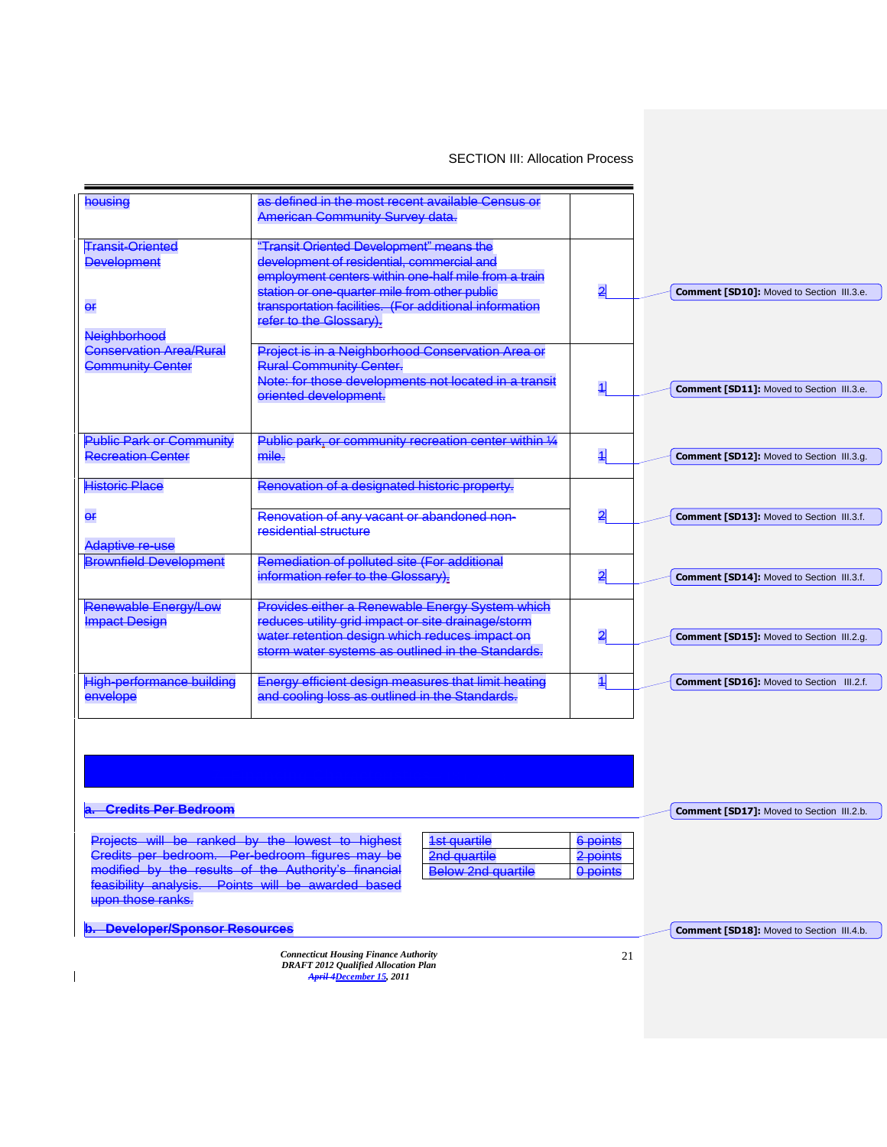| housing                                                                                                                                                                                                                                 | as defined in the most recent available Census or<br>American Community Survey data.                                                                                                                                                                                                 |                                             |                                           |
|-----------------------------------------------------------------------------------------------------------------------------------------------------------------------------------------------------------------------------------------|--------------------------------------------------------------------------------------------------------------------------------------------------------------------------------------------------------------------------------------------------------------------------------------|---------------------------------------------|-------------------------------------------|
| <b>Transit-Oriented</b><br><b>Development</b><br>$\overline{or}$<br><b>Neighborhood</b>                                                                                                                                                 | "Transit Oriented Development" means the<br>development of residential, commercial and<br>employment centers within one-half mile from a train<br>station or one-quarter mile from other public<br>transportation facilities. (For additional information<br>refer to the Glossary). | $\overline{\mathbf{2}}$                     | Comment [SD10]: Moved to Section III.3.e. |
| <b>Conservation Area/Rural</b><br><b>Community Center</b>                                                                                                                                                                               | Project is in a Neighborhood Conservation Area or<br><b>Rural Community Center.</b><br>Note: for those developments not located in a transit<br>eriented development.                                                                                                                | $\overline{\mathbf{1}}$                     | Comment [SD11]: Moved to Section III.3.e. |
| <b>Public Park or Community</b><br><b>Recreation Center</b>                                                                                                                                                                             | Public park, or community recreation center within 1/4<br>mile.                                                                                                                                                                                                                      | $\overline{1}$                              | Comment [SD12]: Moved to Section III.3.g. |
| <b>Historic Place</b><br>$\overline{ef}$                                                                                                                                                                                                | Renovation of a designated historic property.<br>Renovation of any vacant or abandoned non-                                                                                                                                                                                          | $\overline{\mathbf{2}}$                     | Comment [SD13]: Moved to Section III.3.f. |
| Adaptive re-use                                                                                                                                                                                                                         | residential structure                                                                                                                                                                                                                                                                |                                             |                                           |
| <b>Brownfield Development</b>                                                                                                                                                                                                           | Remediation of polluted site (For additional<br>information refer to the Glossary).                                                                                                                                                                                                  | $\overline{\mathbf{2}}$                     | Comment [SD14]: Moved to Section III.3.f. |
| Renewable Energy/Low<br><b>Impact Design</b>                                                                                                                                                                                            | Provides either a Renewable Energy System which<br>reduces utility grid impact or site drainage/storm<br>water retention design which reduces impact on<br>storm water systems as outlined in the Standards.                                                                         | $\overline{\mathbf{2}}$                     | Comment [SD15]: Moved to Section III.2.g. |
| <b>High-performance building</b><br>envelope                                                                                                                                                                                            | Energy efficient design measures that limit heating<br>and cooling loss as outlined in the Standards.                                                                                                                                                                                | $\overline{\mathbf{1}}$                     | Comment [SD16]: Moved to Section III.2.f. |
| <b>a.</b> Credits Per Bedroom                                                                                                                                                                                                           |                                                                                                                                                                                                                                                                                      |                                             | Comment [SD17]: Moved to Section III.2.b. |
| Projects will be ranked by the lowest to highest<br>Credits per bedroom. Per-bedroom figures may be<br>modified by the results of the Authority's financial<br>feasibility analysis.  Points will be awarded based<br>upon those ranks. | 1st quartile<br>2nd quartile<br><b>Below 2nd quartile</b>                                                                                                                                                                                                                            | 6 points<br><del>2 points</del><br>0 points |                                           |

**b. Developer/Sponsor Resources**

 $\mathsf I$ 

*Connecticut Housing Finance Authority DRAFT 2012 Qualified Allocation Plan April 4December 15, 2011*

**Comment [SD18]:** Moved to Section III.4.b.

21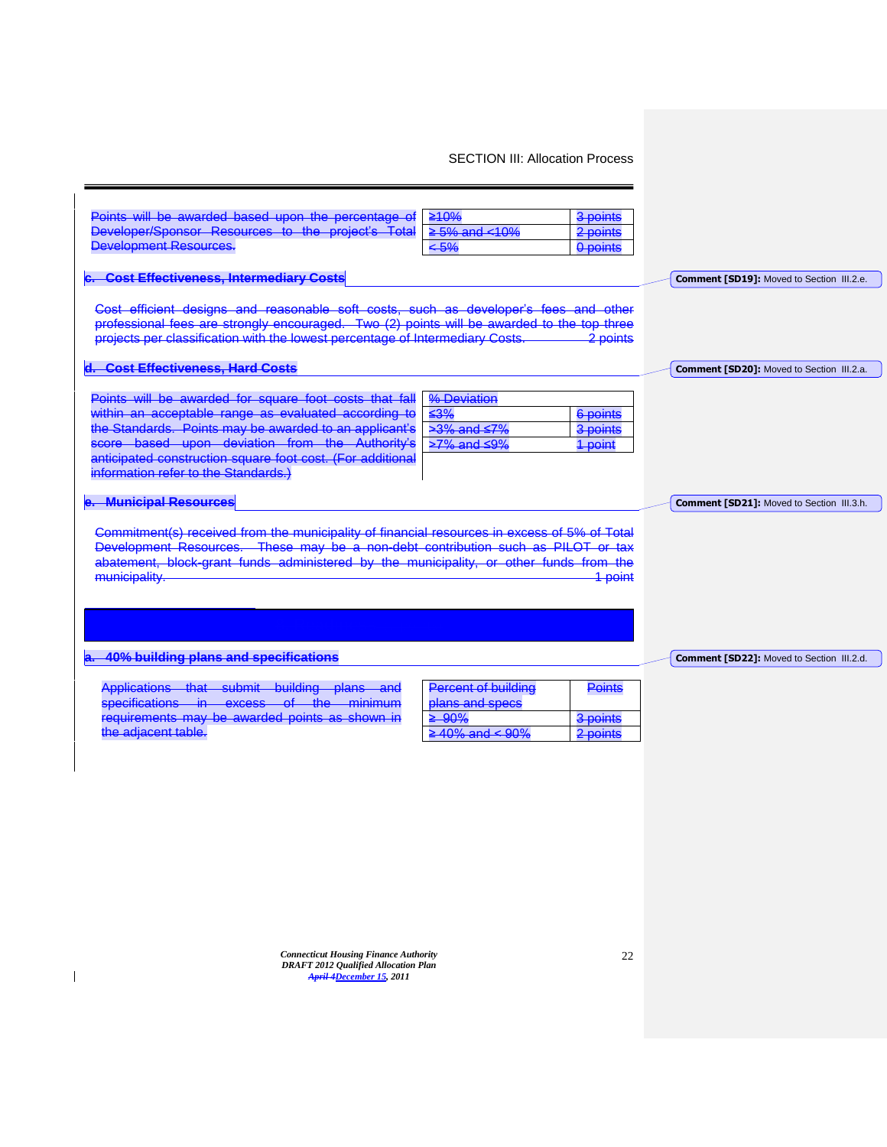| Points will be awarded based upon the percentage of                                                                                                                                                                                                                                         | ≥10%                                          | 3 points            |                                           |
|---------------------------------------------------------------------------------------------------------------------------------------------------------------------------------------------------------------------------------------------------------------------------------------------|-----------------------------------------------|---------------------|-------------------------------------------|
| Developer/Sponsor Resources to the project's Total                                                                                                                                                                                                                                          | $\geq 5\%$ and <10%                           | <del>2 points</del> |                                           |
| <b>Development Resources.</b>                                                                                                                                                                                                                                                               | < 5%                                          | 0 points            |                                           |
| <b>Cost Effectiveness, Intermediary Costs</b>                                                                                                                                                                                                                                               |                                               |                     | Comment [SD19]: Moved to Section III.2.e. |
| Cost efficient designs and reasonable soft costs, such as developer's fees and other<br>professional fees are strongly encouraged. Two (2) points will be awarded to the top three<br>projects per classification with the lowest percentage of Intermediary Costs.                         |                                               | 2 points            |                                           |
| <b>Cost Effectiveness, Hard Costs</b>                                                                                                                                                                                                                                                       |                                               |                     | Comment [SD20]: Moved to Section III.2.a. |
| Points will be awarded for square foot costs that fall                                                                                                                                                                                                                                      | % Deviation                                   |                     |                                           |
| within an acceptable range as evaluated according to                                                                                                                                                                                                                                        | ≤3%                                           | 6 points            |                                           |
| the Standards. Points may be awarded to an applicant's                                                                                                                                                                                                                                      | >3% and ≤7%                                   | 3 points            |                                           |
| score based upon deviation from the Authority's                                                                                                                                                                                                                                             | >7% and ≤9%                                   | 1 point             |                                           |
| anticipated construction square foot cost. (For additional                                                                                                                                                                                                                                  |                                               |                     |                                           |
| information refer to the Standards.)                                                                                                                                                                                                                                                        |                                               |                     |                                           |
|                                                                                                                                                                                                                                                                                             |                                               |                     |                                           |
| e. Municipal Resources                                                                                                                                                                                                                                                                      |                                               |                     | Comment [SD21]: Moved to Section III.3.h. |
| Commitment(s) received from the municipality of financial resources in excess of 5% of Total<br>Development Resources. These may be a non-debt contribution such as PILOT or tax<br>abatement, block-grant funds administered by the municipality, or other funds from the<br>municipality. |                                               | 1 point             |                                           |
|                                                                                                                                                                                                                                                                                             |                                               |                     |                                           |
| 40% building plans and specifications                                                                                                                                                                                                                                                       |                                               |                     | Comment [SD22]: Moved to Section III.2.d. |
| Applications that<br>submit<br>building<br>plans<br>-and<br>specifications<br>the<br>minimum<br>⊣ <del>in</del>                                                                                                                                                                             | <b>Percent of building</b><br>plans and specs | <b>Points</b>       |                                           |
| requirements may be awarded points as shown in                                                                                                                                                                                                                                              | 2.90%                                         | 3 points            |                                           |
| the adjacent table.                                                                                                                                                                                                                                                                         | $\geq 40\%$ and $\leq 90\%$                   | 2 points            |                                           |
|                                                                                                                                                                                                                                                                                             |                                               |                     |                                           |

*Connecticut Housing Finance Authority DRAFT 2012 Qualified Allocation Plan April 4December 15, 2011*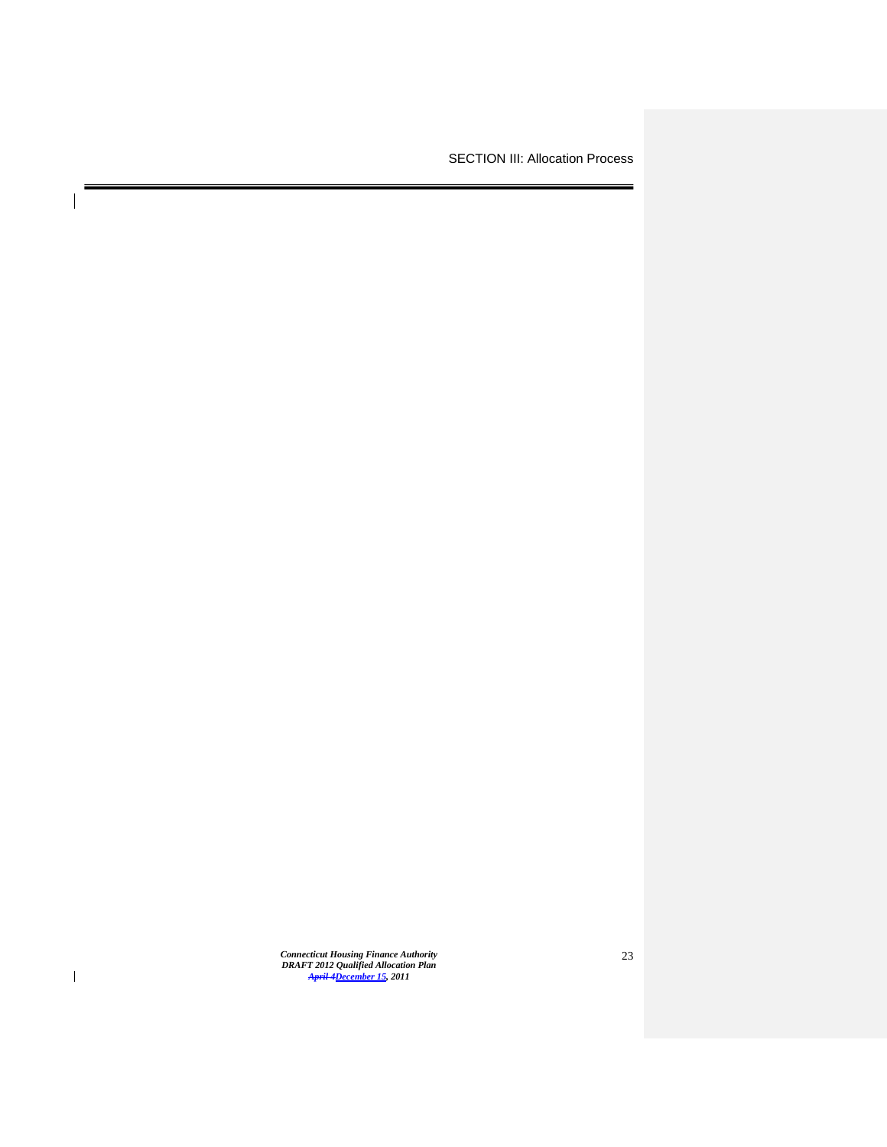*Connecticut Housing Finance Authority DRAFT 2012 Qualified Allocation Plan April 4December 15, 2011*

 $\overline{\phantom{a}}$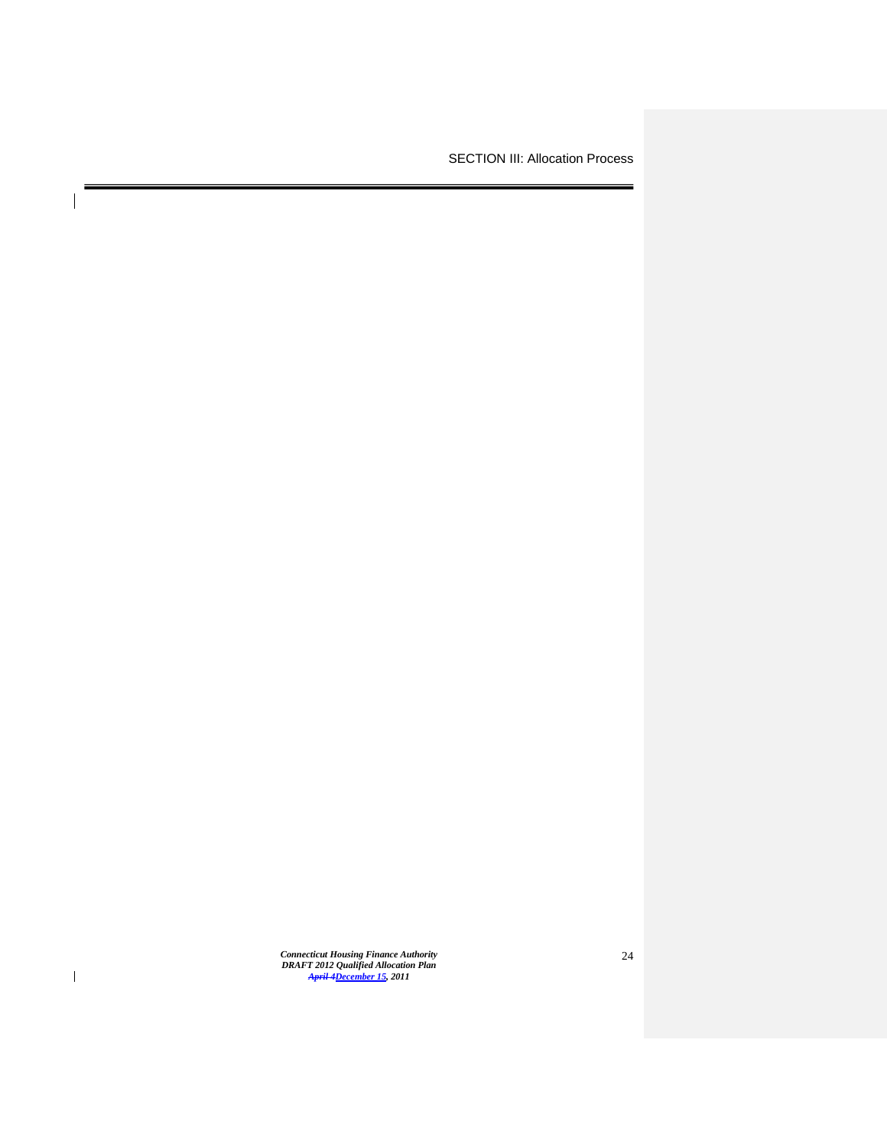*Connecticut Housing Finance Authority DRAFT 2012 Qualified Allocation Plan April 4December 15, 2011*

 $\overline{\phantom{a}}$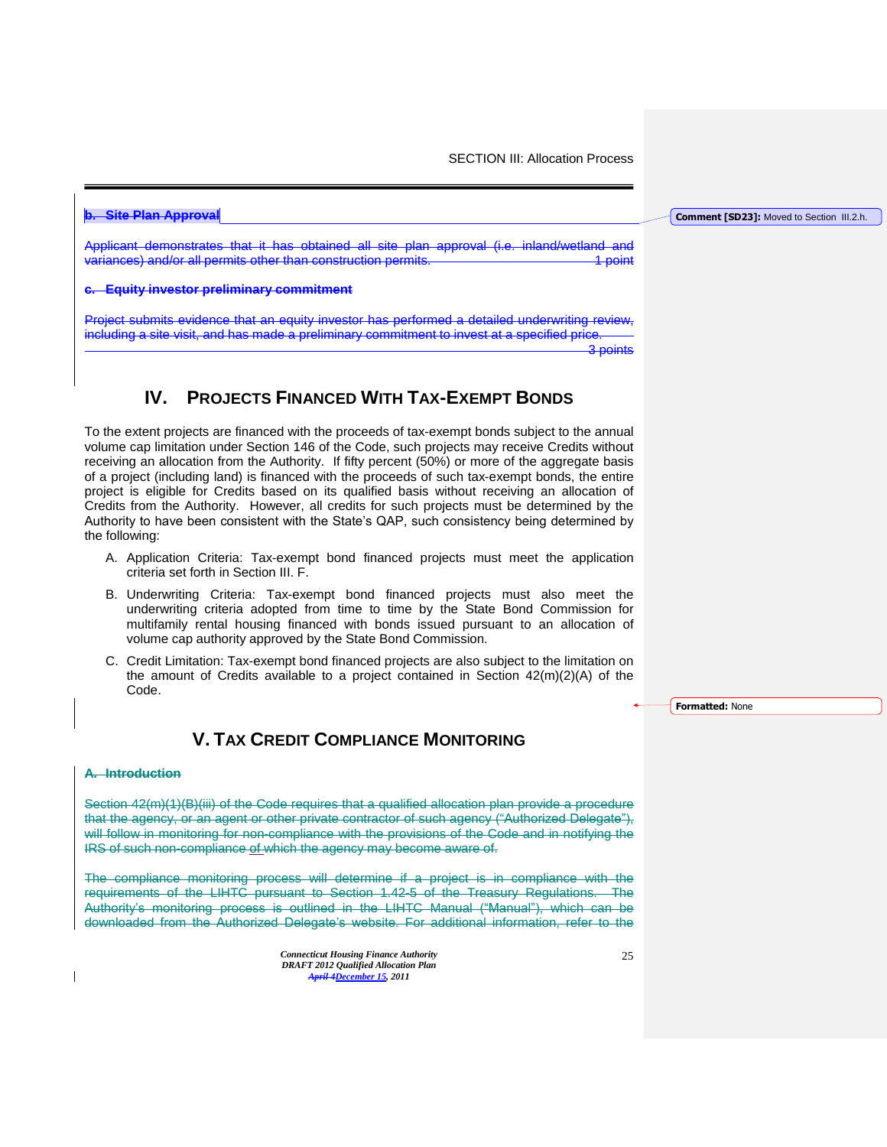#### **b. Site Plan Approval**

demonstrates that it has obtained all site plan approval (i.e. inland/wetland and variances) and/or all permits other than construction permits. 1 point

#### **c. Equity investor preliminary commitment**

Project submits evidence that an equity investor has performed a detailed underwriting review, including a site visit, and has made a preliminary commitment to invest at a specified prio

3 points

## **IV. PROJECTS FINANCED WITH TAX-EXEMPT BONDS**

<span id="page-25-0"></span>To the extent projects are financed with the proceeds of tax-exempt bonds subject to the annual volume cap limitation under Section 146 of the Code, such projects may receive Credits without receiving an allocation from the Authority. If fifty percent (50%) or more of the aggregate basis of a project (including land) is financed with the proceeds of such tax-exempt bonds, the entire project is eligible for Credits based on its qualified basis without receiving an allocation of Credits from the Authority. However, all credits for such projects must be determined by the Authority to have been consistent with the State's QAP, such consistency being determined by the following:

- A. Application Criteria: Tax-exempt bond financed projects must meet the application criteria set forth in Section III. F.
- B. Underwriting Criteria: Tax-exempt bond financed projects must also meet the underwriting criteria adopted from time to time by the State Bond Commission for multifamily rental housing financed with bonds issued pursuant to an allocation of volume cap authority approved by the State Bond Commission.
- C. Credit Limitation: Tax-exempt bond financed projects are also subject to the limitation on the amount of Credits available to a project contained in Section  $42(m)(2)(A)$  of the Code.

## **V. TAX CREDIT COMPLIANCE MONITORING**

#### <span id="page-25-1"></span>**A. Introduction**

Section 42(m)(1)(B)(iii) of the Code requires that a qualified allocation plan provide a procedure that the agency, or an agent or other private contractor of such agency ("Authorized Delegate"), will follow in monitoring for non-compliance with the provisions of the Code and in notifying the IRS of such non-compliance of which the agency may become aware of.

The compliance monitoring process will determine if a project is in compliance with the requirements of the LIHTC pursuant to Section 1.42-5 of the Treasury Regulations. The Authority's monitoring process is outlined in the LIHTC Manual ("Manual"), which can be downloaded from the Authorized Delegate's website. For additional information, refer to the

> *Connecticut Housing Finance Authority DRAFT 2012 Qualified Allocation Plan April 4December 15, 2011*

**Formatted:** None

**Comment [SD23]:** Moved to Section III.2.h.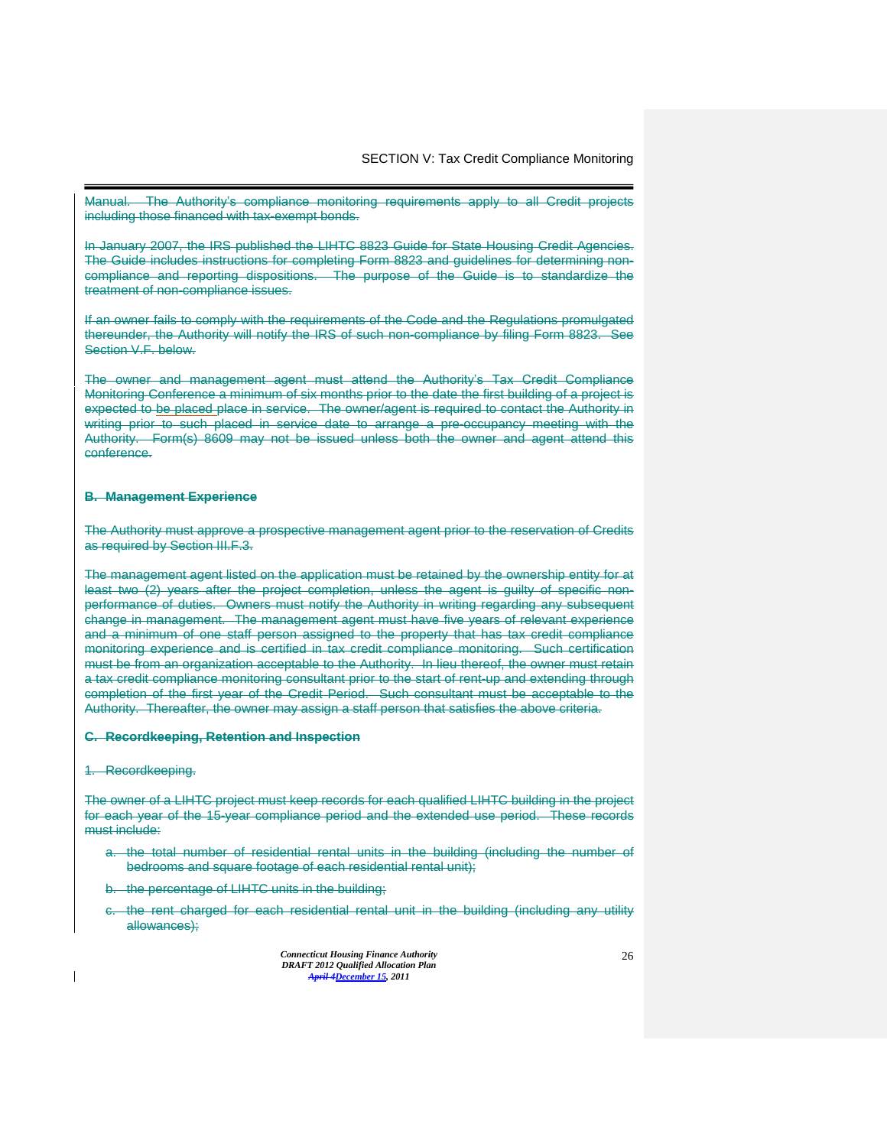Manual. The Authority's compliance monitoring requirements apply to all Credit projects including those financed with tax-exempt bonds.

In January 2007, the IRS published the LIHTC 8823 Guide for State Housing Credit Agencies. The Guide includes instructions for completing Form 8823 and guidelines for determining noncompliance and reporting dispositions. The purpose of the Guide is to standardize the treatment of non-compliance issues.

If an owner fails to comply with the requirements of the Code and the Regulations promulgated thereunder, the Authority will notify the IRS of such non-compliance by filing Form 8823. See Section V.F. below.

The owner and management agent must attend the Authority's Tax Credit Compliance Monitoring Conference a minimum of six months prior to the date the first building of a project is expected to be placed place in service. The owner/agent is required to contact the Authority in writing prior to such placed in service date to arrange a pre-occupancy meeting with the Authority. Form(s) 8609 may not be issued unless both the owner and agent attend this conference.

#### **B. Management Experience**

The Authority must approve a prospective management agent prior to the reservation of Credits as required by Section III.F.3.

The management agent listed on the application must be retained by the ownership entity for at least two (2) years after the project completion, unless the agent is guilty of specific nonperformance of duties. Owners must notify the Authority in writing regarding any subsequent change in management. The management agent must have five years of relevant experience and a minimum of one staff person assigned to the property that has tax credit compliance monitoring experience and is certified in tax credit compliance monitoring. Such certification must be from an organization acceptable to the Authority. In lieu thereof, the owner must retain a tax credit compliance monitoring consultant prior to the start of rent-up and extending through completion of the first year of the Credit Period. Such consultant must be acceptable to the Authority. Thereafter, the owner may assign a staff person that satisfies the above criteria.

#### **C. Recordkeeping, Retention and Inspection**

#### 1. Recordkeeping.

The owner of a LIHTC project must keep records for each qualified LIHTC building in the project for each year of the 15-year compliance period and the extended use period. These records must include:

- the total number of residential rental units in the building (including the number of bedrooms and square footage of each residential rental unit);
- b. the percentage of LIHTC units in the building:
- the rent charged for each residential rental unit in the building (including any utility allowances);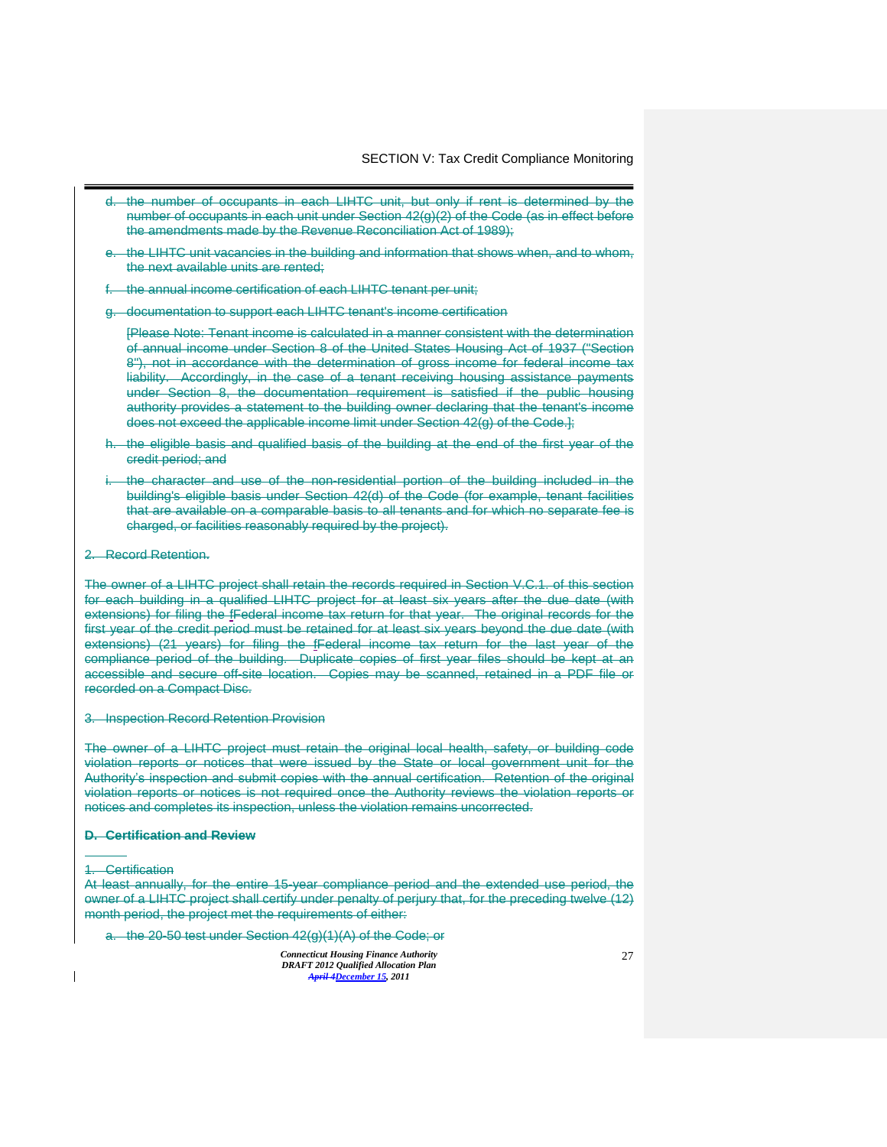- d. the number of occupants in each LIHTC unit, but only if rent is determined by the number of occupants in each unit under Section 42(g)(2) of the Code (as in effect before the amendments made by the Revenue Reconciliation Act of 1989);
- the LIHTC unit vacancies in the building and information that shows when, and to whom, the next available units are rented;
- the annual income certification of each LIHTC tenant per unit;
- g. documentation to support each LIHTC tenant's income certification

[Please Note: Tenant income is calculated in a manner consistent with the determination of annual income under Section 8 of the United States Housing Act of 1937 ("Section 8"), not in accordance with the determination of gross income for federal income tax liability. Accordingly, in the case of a tenant receiving housing assistance payments under Section 8, the documentation requirement is satisfied if the public housing authority provides a statement to the building owner declaring that the tenant's income does not exceed the applicable income limit under Section 42(g) of the Code.];

- the eligible basis and qualified basis of the building at the end of the first year of the credit period; and
- the character and use of the non-residential portion of the building included in the building's eligible basis under Section 42(d) of the Code (for example, tenant facilities that are available on a comparable basis to all tenants and for which no separate fee is charged, or facilities reasonably required by the project).
- 2. Record Retention.

The owner of a LIHTC project shall retain the records required in Section V.C.1. of this section for each building in a qualified LIHTC project for at least six years after the due date (with extensions) for filing the fFederal income tax return for that year. The original records for the first year of the credit period must be retained for at least six years beyond the due date (with extensions) (21 years) for filing the fFederal income tax return for the last year of the compliance period of the building. Duplicate copies of first year files should be kept at an accessible and secure off-site location. Copies may be scanned, retained in a PDF file or recorded on a Compact Disc.

3. Inspection Record Retention Provision

The owner of a LIHTC project must retain the original local health, safety, or building code violation reports or notices that were issued by the State or local government unit for the Authority's inspection and submit copies with the annual certification. Retention of the original violation reports or notices is not required once the Authority reviews the violation reports or notices and completes its inspection, unless the violation remains uncorrected.

#### **D. Certification and Review**

At least annually, for the entire 15-year compliance period and the extended use period, the owner of a LIHTC project shall certify under penalty of perjury that, for the preceding twelve (12) month period, the project met the requirements of either:

a. the 20-50 test under Section 42(g)(1)(A) of the Code; or

**Certification**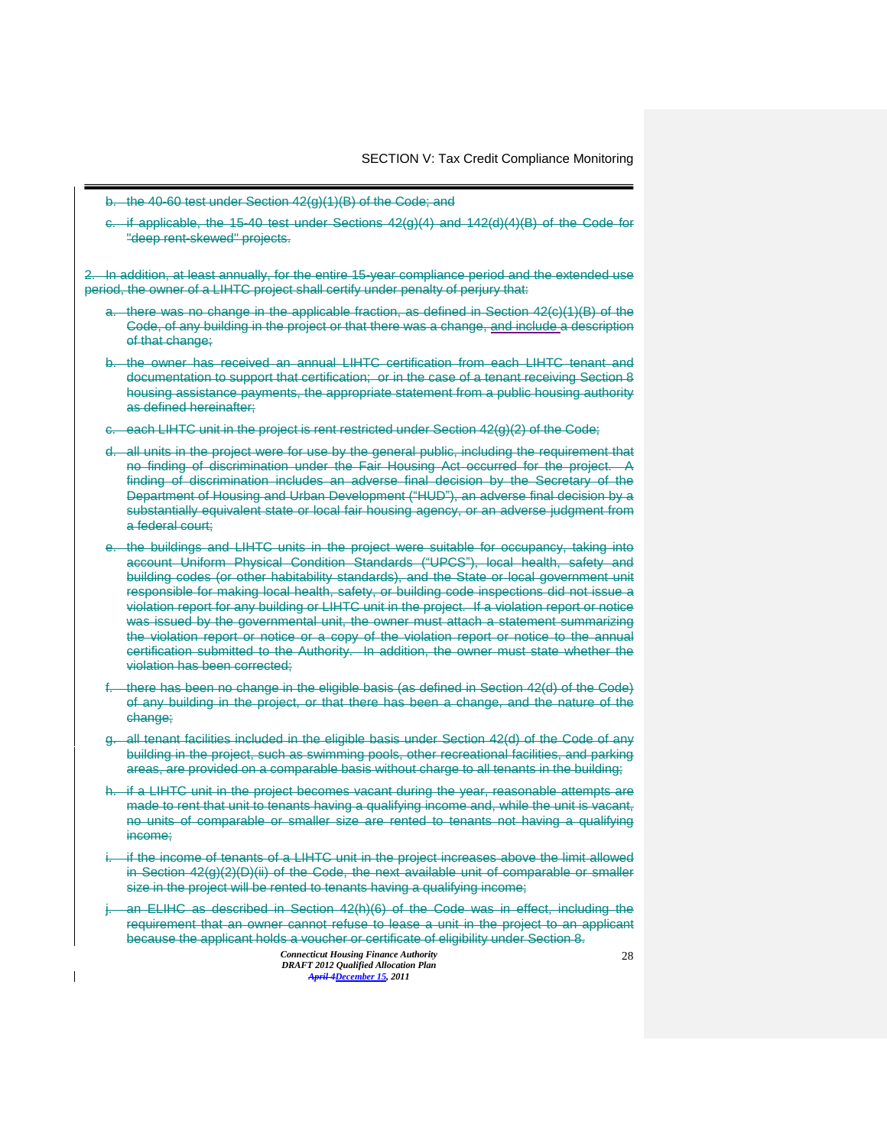- the 40-60 test under Section 42(g)(1)(B) of the Code; and
- c. if applicable, the 15-40 test under Sections 42(g)(4) and 142(d)(4)(B) of the Code for "deep rent-skewed" projects.

2. In addition, at least annually, for the entire 15-year compliance period and the extended use period, the owner of a LIHTC project shall certify under penalty of perjury that:

- there was no change in the applicable fraction, as defined in Section  $42(c)(1)(B)$  of the Code, of any building in the project or that there was a change, and include a description of that change;
- the owner has received an annual LIHTC certification from each LIHTC tenant and documentation to support that certification; or in the case of a tenant receiving Section 8 housing assistance payments, the appropriate statement from a public housing authority as defined hereinafter;
- each LIHTC unit in the project is rent restricted under Section 42(g)(2) of the Code;
- d. all units in the project were for use by the general public, including the requirement that no finding of discrimination under the Fair Housing Act occurred for the project. finding of discrimination includes an adverse final decision by the Secretary of the Department of Housing and Urban Development ("HUD"), an adverse final decision by a substantially equivalent state or local fair housing agency, or an adverse judgment from a federal court:
- the buildings and LIHTC units in the project were suitable for occupancy, taking into account Uniform Physical Condition Standards ("UPCS"), local health, safety and building codes (or other habitability standards), and the State or local government unit responsible for making local health, safety, or building code inspections did not issue a violation report for any building or LIHTC unit in the project. If a violation report or notice was issued by the governmental unit, the owner must attach a statement summarizing the violation report or notice or a copy of the violation report or notice to the annual certification submitted to the Authority. In addition, the owner must state whether the violation has been corrected;
- there has been no change in the eligible basis (as defined in Section 42(d) of the Code) of any building in the project, or that there has been a change, and the nature of the change;
- all tenant facilities included in the eligible basis under Section 42(d) of the Code of any building in the project, such as swimming pools, other recreational facilities, and parking areas, are provided on a comparable basis without charge to all tenants in the building;
- h. if a LIHTC unit in the project becomes vacant during the year, reasonable attempts are made to rent that unit to tenants having a qualifying income and, while the unit is vacant, no units of comparable or smaller size are rented to tenants not having a qualifying income;
- if the income of tenants of a LIHTC unit in the project increases above the limit allowed in Section 42(g)(2)(D)(ii) of the Code, the next available unit of comparable or smaller size in the project will be rented to tenants having a qualifying income;
- an ELIHC as described in Section  $42(h)(6)$  of the Code was in effect, including the requirement that an owner cannot refuse to lease a unit in the project to an applicant because the applicant holds a voucher or certificate of eligibility under Section 8.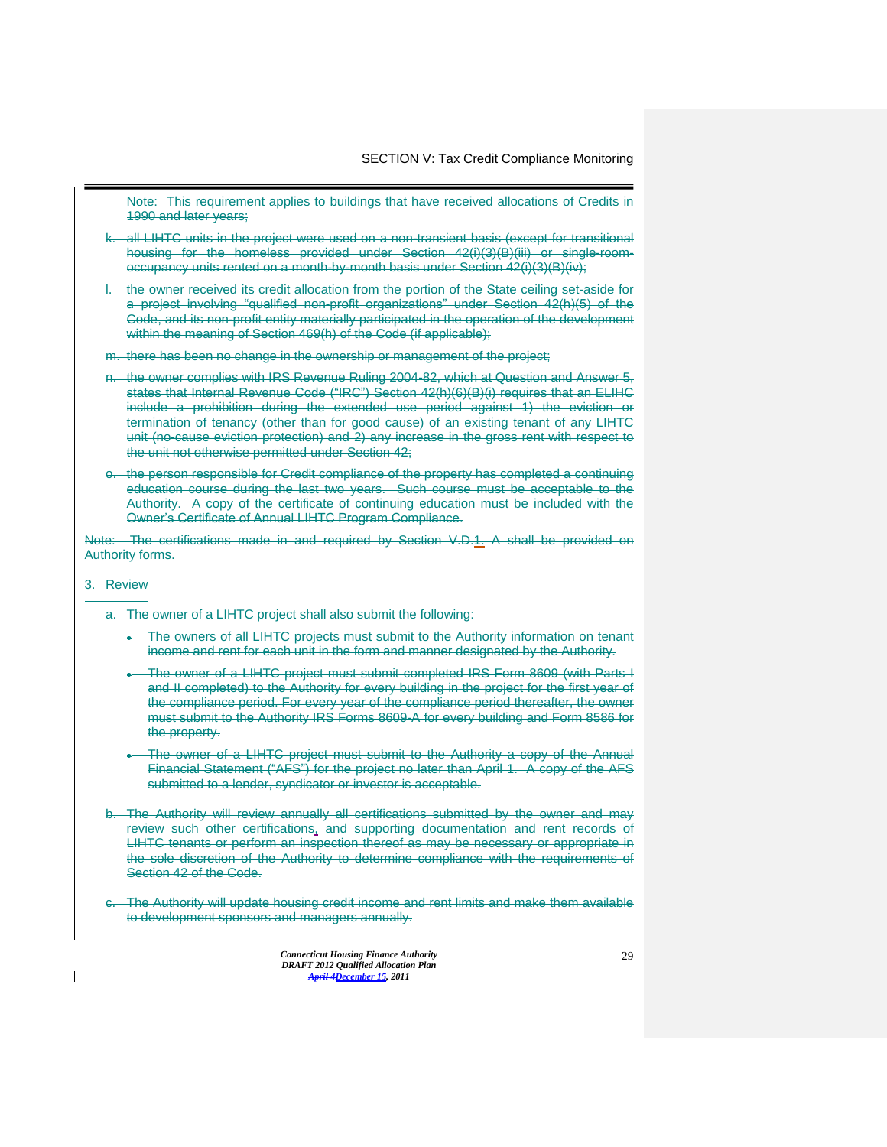Note: This requirement applies to buildings that have received allocations of Credits in 1990 and later years;

- all LIHTC units in the project were used on a non-transient basis (except for transitional housing for the homeless provided under Section 42(i)(3)(B)(iii) or single-roomoccupancy units rented on a month-by-month basis under Section 42(i)(3)(B)(iv);
- l. the owner received its credit allocation from the portion of the State ceiling set-aside for a project involving "qualified non-profit organizations" under Section 42(h)(5) of the Code, and its non-profit entity materially participated in the operation of the development within the meaning of Section 469(h) of the Code (if applicable);

m. there has been no change in the ownership or management of the project;

- n. the owner complies with IRS Revenue Ruling 2004-82, which at Question and Answer 5, states that Internal Revenue Code ("IRC") Section 42(h)(6)(B)(i) requires that an ELIHC include a prohibition during the extended use period against 1) the eviction or termination of tenancy (other than for good cause) of an existing tenant of any LIHTC unit (no-cause eviction protection) and 2) any increase in the gross rent with respect to the unit not otherwise permitted under Section 42;
- o. the person responsible for Credit compliance of the property has completed a continuing education course during the last two years. Such course must be acceptable to the Authority. A copy of the certificate of continuing education must be included with the Owner's Certificate of Annual LIHTC Program Compliance.

Note: The certifications made in and required by Section V.D.1. A shall be provided on Authority forms.

#### 3. Review

- a. The owner of a LIHTC project shall also submit the following:
	- The owners of all LIHTC projects must submit to the Authority information on tenant income and rent for each unit in the form and manner designated by the Authority.
	- The owner of a LIHTC project must submit completed IRS Form 8609 (with Parts I and II completed) to the Authority for every building in the project for the first year of the compliance period. For every year of the compliance period thereafter, the owner must submit to the Authority IRS Forms 8609-A for every building and Form 8586 for the property.
	- The owner of a LIHTC project must submit to the Authority a copy of the Annual Financial Statement ("AFS") for the project no later than April 1. A copy of the AFS submitted to a lender, syndicator or investor is acceptable.
- b. The Authority will review annually all certifications submitted by the owner and may review such other certifications, and supporting documentation and rent records of LIHTC tenants or perform an inspection thereof as may be necessary or appropriate in the sole discretion of the Authority to determine compliance with the requirements of Section 42 of the Code.
- The Authority will update housing credit income and rent limits and make them available to development sponsors and managers annually.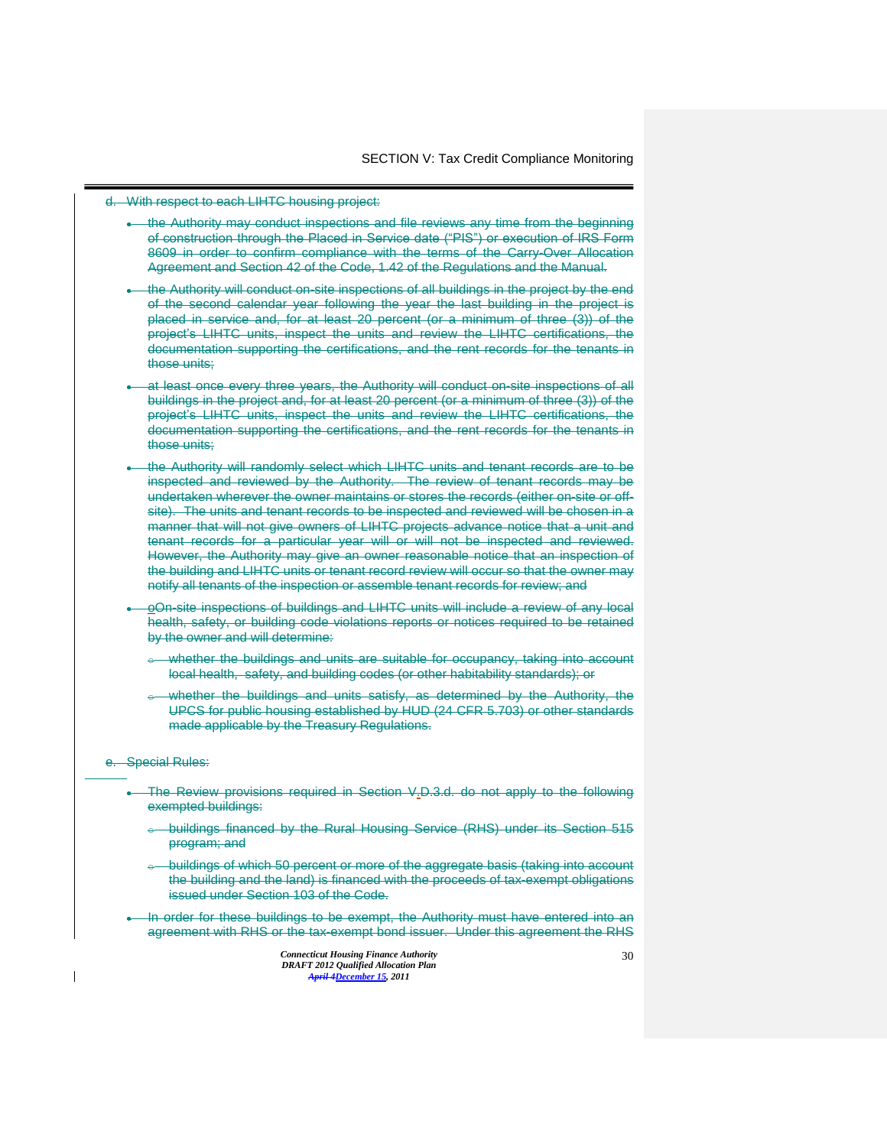## d. With respect to each LIHTC housing project:

- the Authority may conduct inspections and file reviews any time from the beginning of construction through the Placed in Service date ("PIS") or execution of IRS Form 8609 in order to confirm compliance with the terms of the Carry-Over Allocation Agreement and Section 42 of the Code, 1.42 of the Regulations and the Manual.
- the Authority will conduct on-site inspections of all buildings in the project by the end of the second calendar year following the year the last building in the project is placed in service and, for at least 20 percent (or a minimum of three (3)) of the project's LIHTC units, inspect the units and review the LIHTC certifications, the documentation supporting the certifications, and the rent records for the tenants in those units;
- at least once every three years, the Authority will conduct on-site inspections of all buildings in the project and, for at least 20 percent (or a minimum of three (3)) of the project's LIHTC units, inspect the units and review the LIHTC certifications, the documentation supporting the certifications, and the rent records for the tenants in those units;
- the Authority will randomly select which LIHTC units and tenant records are to be inspected and reviewed by the Authority. The review of tenant records may be undertaken wherever the owner maintains or stores the records (either on-site or offsite). The units and tenant records to be inspected and reviewed will be chosen in a manner that will not give owners of LIHTC projects advance notice that a unit and tenant records for a particular year will or will not be inspected and reviewed. However, the Authority may give an owner reasonable notice that an inspection of the building and LIHTC units or tenant record review will occur so that the owner may notify all tenants of the inspection or assemble tenant records for review; and
- oOn-site inspections of buildings and LIHTC units will include a review of any local health, safety, or building code violations reports or notices required to be retained by the owner and will determine:
	- whether the buildings and units are suitable for occupancy, taking into account local health, safety, and building codes (or other habitability standards); or
	- whether the buildings and units satisfy, as determined by the Authority, the UPCS for public housing established by HUD (24 CFR 5.703) or other standards made applicable by the Treasury Regulations.

#### **Special Rules:**

- The Review provisions required in Section V.D.3.d. do not apply to the following exempted buildings:
	- buildings financed by the Rural Housing Service (RHS) under its Section 515 program; and
	- buildings of which 50 percent or more of the aggregate basis (taking into account the building and the land) is financed with the proceeds of tax-exempt obligations issued under Section 103 of the Code.
- In order for these buildings to be exempt, the Authority must have entered into an agreement with RHS or the tax-exempt bond issuer. Under this agreement the RHS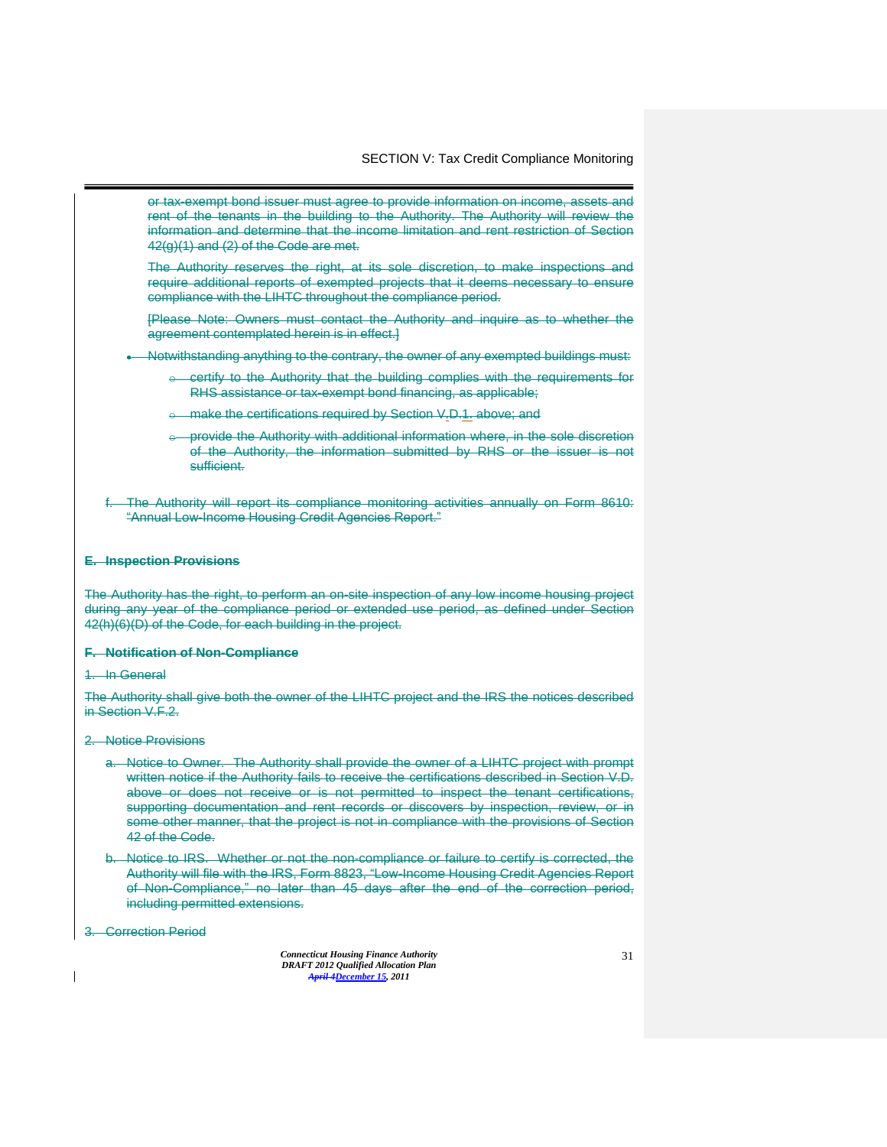or tax-exempt bond issuer must agree to provide information on income, assets and rent of the tenants in the building to the Authority. The Authority will review the information and determine that the income limitation and rent restriction of Section 42(g)(1) and (2) of the Code are met.

The Authority reserves the right, at its sole discretion, to make inspections and require additional reports of exempted projects that it deems necessary to ensure compliance with the LIHTC throughout the compliance period.

[Please Note: Owners must contact the Authority and inquire as to whether the agreement contemplated herein is in effect.]

- Notwithstanding anything to the contrary, the owner of any exempted buildings must:
	- certify to the Authority that the building complies with the requirements for RHS assistance or tax-exempt bond financing, as applicable;
	- make the certifications required by Section V<sub>-</sub>D.1. above; and
	- provide the Authority with additional information where, in the sole discretion of the Authority, the information submitted by RHS or the issuer is not sufficient.
- The Authority will report its compliance monitoring activities annually on Form 8610: "Annual Low-Income Housing Credit Agencies Report."

#### **E. Inspection Provisions**

The Authority has the right, to perform an on-site inspection of any low income housing project during any year of the compliance period or extended use period, as defined under Section 42(h)(6)(D) of the Code, for each building in the project.

#### **F. Notification of Non-Compliance**

1. In General

The Authority shall give both the owner of the LIHTC project and the IRS the notices described in Section V.F.2.

- 2. Notice Provisions
	- a. Notice to Owner. The Authority shall provide the owner of a LIHTC project with prompt written notice if the Authority fails to receive the certifications described in Section V.D. above or does not receive or is not permitted to inspect the tenant certifications, supporting documentation and rent records or discovers by inspection, review, or in some other manner, that the project is not in compliance with the provisions of Section 42 of the Code.
	- b. Notice to IRS. Whether or not the non-compliance or failure to certify is corrected, the Authority will file with the IRS, Form 8823, "Low-Income Housing Credit Agencies Report of Non-Compliance," no later than 45 days after the end of the correction period, including permitted extensions.

3. Correction Period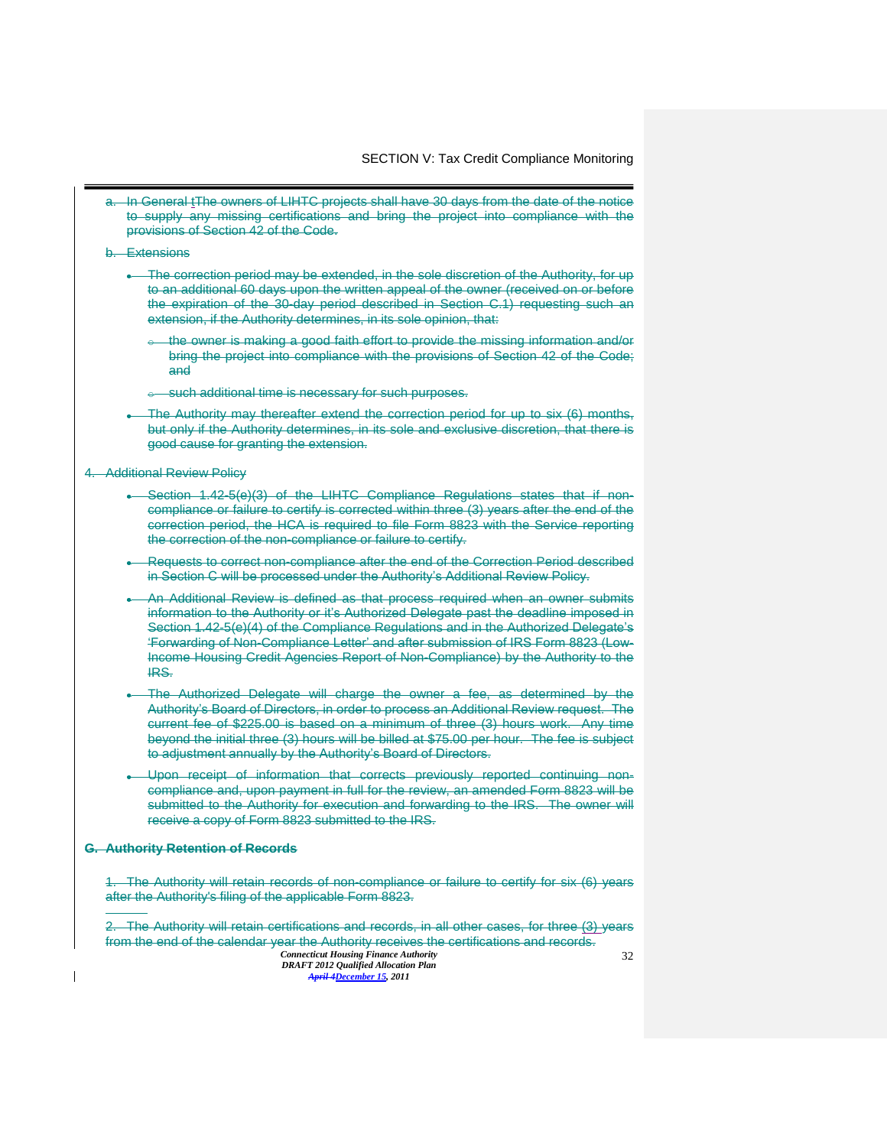#### SECTION V: Tax Credit Compliance Monitoring

In General tThe owners of LIHTC projects shall have 30 days from the date of the notice to supply any missing certifications and bring the project into compliance with the provisions of Section 42 of the Code.

#### **Extensions**

- The correction period may be extended, in the sole discretion of the Authority, for up to an additional 60 days upon the written appeal of the owner (received on or before the expiration of the 30-day period described in Section C.1) requesting such an extension, if the Authority determines, in its sole opinion, that:
	- the owner is making a good faith effort to provide the missing information and/or bring the project into compliance with the provisions of Section 42 of the Code; and
	- such additional time is necessary for such purposes.
- The Authority may thereafter extend the correction period for up to six (6) months, but only if the Authority determines, in its sole and exclusive discretion, that there is good cause for granting the extension.

#### **Additional Review Policy**

- Section 1.42-5(e)(3) of the LIHTC Compliance Regulations states that if noncompliance or failure to certify is corrected within three (3) years after the end of the correction period, the HCA is required to file Form 8823 with the Service reporting the correction of the non-compliance or failure to certify.
- Requests to correct non-compliance after the end of the Correction Period described in Section C will be processed under the Authority's Additional Review Policy.
- An Additional Review is defined as that process required when an owner submits information to the Authority or it's Authorized Delegate past the deadline imposed in Section 1.42-5(e)(4) of the Compliance Regulations and in the Authorized Delegate's 'Forwarding of Non-Compliance Letter' and after submission of IRS Form 8823 (Low-Income Housing Credit Agencies Report of Non-Compliance) by the Authority to the IRS.
- The Authorized Delegate will charge the owner a fee, as determined by the Authority's Board of Directors, in order to process an Additional Review request. The current fee of \$225.00 is based on a minimum of three (3) hours work. Any time beyond the initial three (3) hours will be billed at \$75.00 per hour. The fee is subject to adjustment annually by the Authority's Board of Directors.
- Upon receipt of information that corrects previously reported continuing noncompliance and, upon payment in full for the review, an amended Form 8823 will be submitted to the Authority for execution and forwarding to the IRS. The owner will receive a copy of Form 8823 submitted to the IRS.

#### **G. Authority Retention of Records**

1. The Authority will retain records of non-compliance or failure to certify for six (6) years after the Authority's filing of the applicable Form 8823.

2. The Authority will retain certifications and records, in all other cases, for three (3) years from the end of the calendar year the Authority receives the certifications and records.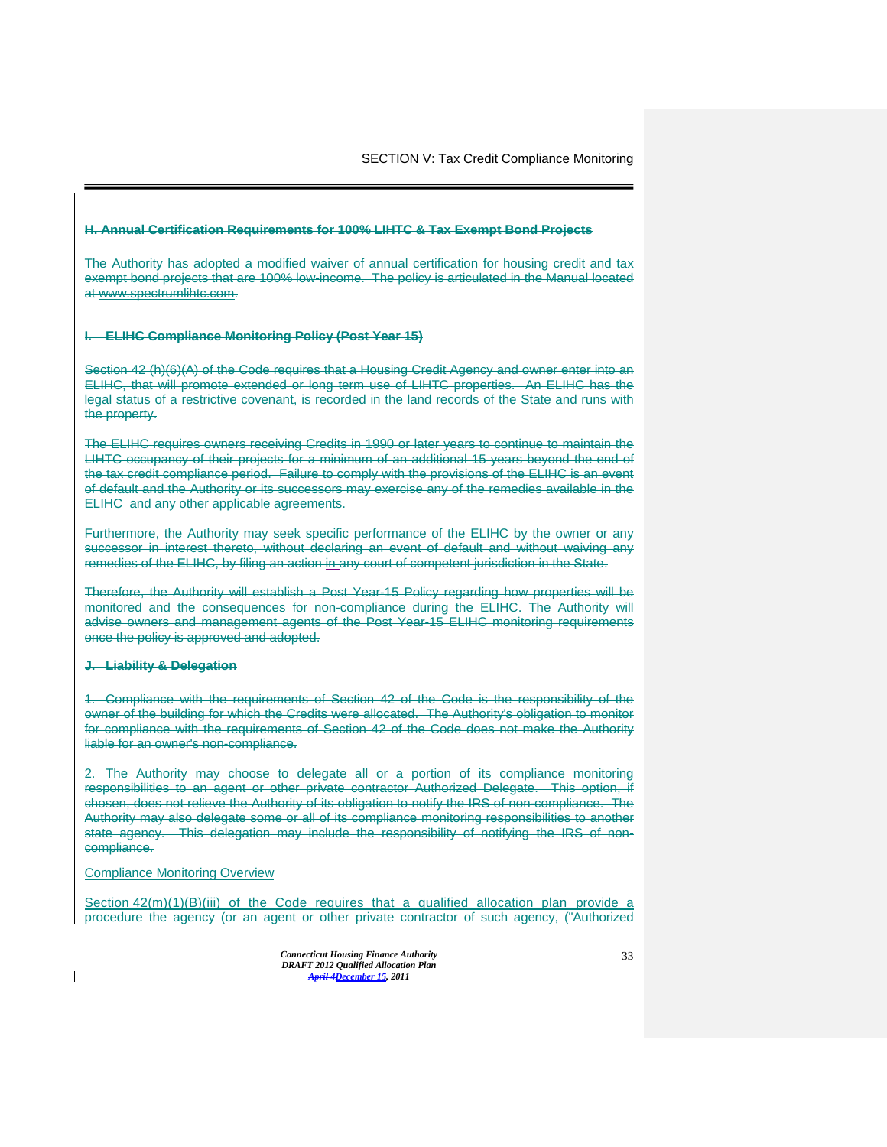#### **H. Annual Certification Requirements for 100% LIHTC & Tax Exempt Bond Projects**

The Authority has adopted a modified waiver of annual certification for housing credit and tax exempt bond projects that are 100% low-income. The policy is articulated in the Manual located at [www.spectrumlihtc.com.](http://www.spectrumlihtc.com/)

#### **I. ELIHC Compliance Monitoring Policy (Post Year 15)**

Section 42 (h)(6)(A) of the Code requires that a Housing Credit Agency and owner enter into an ELIHC, that will promote extended or long term use of LIHTC properties. An ELIHC has the legal status of a restrictive covenant, is recorded in the land records of the State and runs with the property.

The ELIHC requires owners receiving Credits in 1990 or later years to continue to maintain the LIHTC occupancy of their projects for a minimum of an additional 15 years beyond the end of the tax credit compliance period. Failure to comply with the provisions of the ELIHC is an event of default and the Authority or its successors may exercise any of the remedies available in the ELIHC and any other applicable agreements.

Furthermore, the Authority may seek specific performance of the ELIHC by the owner or any successor in interest thereto, without declaring an event of default and without waiving any remedies of the ELIHC, by filing an action in any court of competent jurisdiction in the State.

Therefore, the Authority will establish a Post Year-15 Policy regarding how properties will be monitored and the consequences for non-compliance during the ELIHC. The Authority will advise owners and management agents of the Post Year-15 ELIHC monitoring requirements once the policy is approved and adopted.

#### **J. Liability & Delegation**

1. Compliance with the requirements of Section 42 of the Code is the responsibility of the owner of the building for which the Credits were allocated. The Authority's obligation to monitor for compliance with the requirements of Section 42 of the Code does not make the Authority liable for an owner's non-compliance.

2. The Authority may choose to delegate all or a portion of its compliance monitoring responsibilities to an agent or other private contractor Authorized Delegate. This option, if chosen, does not relieve the Authority of its obligation to notify the IRS of non-compliance. The Authority may also delegate some or all of its compliance monitoring responsibilities to another state agency. This delegation may include the responsibility of notifying the IRS of noncompliance.

#### Compliance Monitoring Overview

Section  $42(m)(1)(B)(iii)$  of the Code requires that a qualified allocation plan provide a procedure the agency (or an agent or other private contractor of such agency, ("Authorized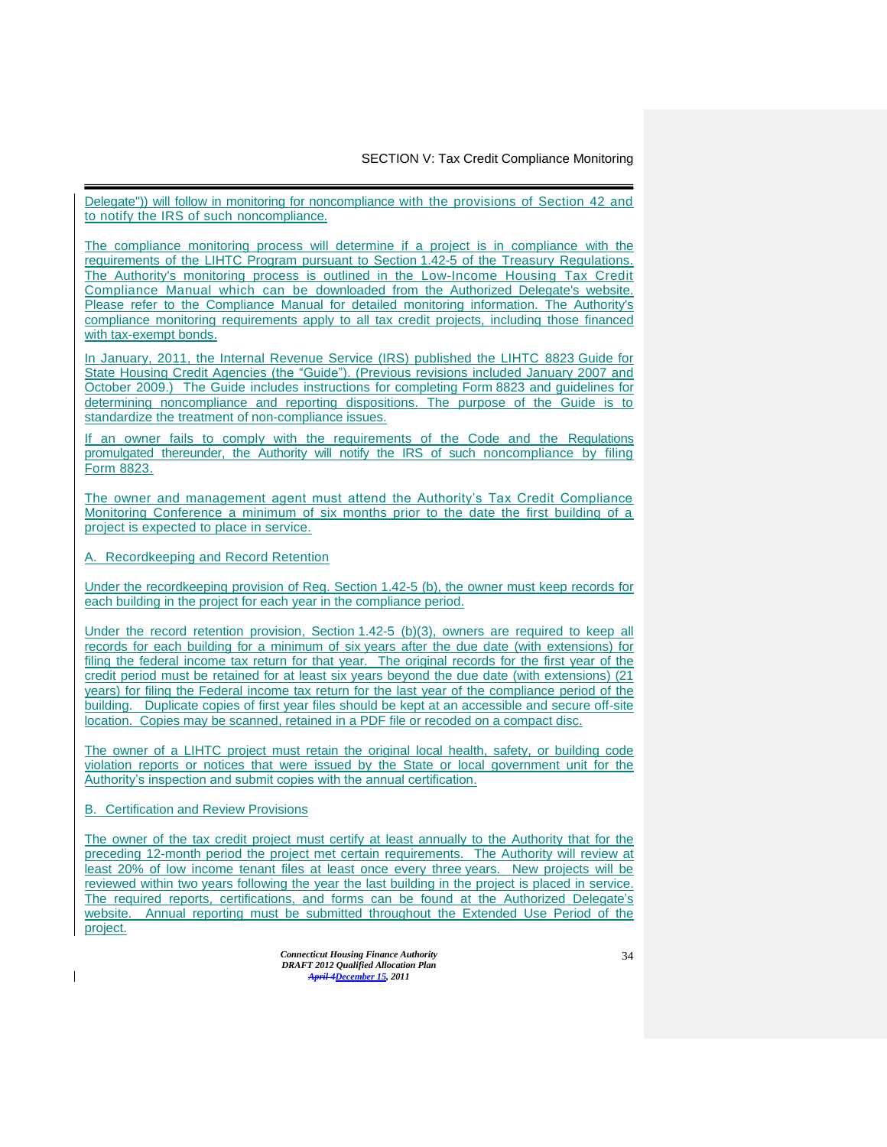Delegate")) will follow in monitoring for noncompliance with the provisions of Section 42 and to notify the IRS of such noncompliance.

The compliance monitoring process will determine if a project is in compliance with the requirements of the LIHTC Program pursuant to Section 1.42-5 of the Treasury Regulations. The Authority's monitoring process is outlined in the Low-Income Housing Tax Credit Compliance Manual which can be downloaded from the Authorized Delegate's website. Please refer to the Compliance Manual for detailed monitoring information. The Authority's compliance monitoring requirements apply to all tax credit projects, including those financed with tax-exempt bonds.

In January, 2011, the Internal Revenue Service (IRS) published the LIHTC 8823 Guide for State Housing Credit Agencies (the "Guide"). (Previous revisions included January 2007 and October 2009.) The Guide includes instructions for completing Form 8823 and guidelines for determining noncompliance and reporting dispositions. The purpose of the Guide is to standardize the treatment of non-compliance issues.

If an owner fails to comply with the requirements of the Code and the Regulations promulgated thereunder, the Authority will notify the IRS of such noncompliance by filing Form 8823.

The owner and management agent must attend the Authority's Tax Credit Compliance Monitoring Conference a minimum of six months prior to the date the first building of a project is expected to place in service.

A. Recordkeeping and Record Retention

Under the recordkeeping provision of Reg. Section 1.42-5 (b), the owner must keep records for each building in the project for each year in the compliance period.

Under the record retention provision, Section 1.42-5 (b)(3), owners are required to keep all records for each building for a minimum of six years after the due date (with extensions) for filing the federal income tax return for that year. The original records for the first year of the credit period must be retained for at least six years beyond the due date (with extensions) (21 years) for filing the Federal income tax return for the last year of the compliance period of the building. Duplicate copies of first year files should be kept at an accessible and secure off-site location. Copies may be scanned, retained in a PDF file or recoded on a compact disc.

The owner of a LIHTC project must retain the original local health, safety, or building code violation reports or notices that were issued by the State or local government unit for the Authority's inspection and submit copies with the annual certification.

#### B. Certification and Review Provisions

 $\overline{\phantom{a}}$ 

The owner of the tax credit project must certify at least annually to the Authority that for the preceding 12-month period the project met certain requirements. The Authority will review at least 20% of low income tenant files at least once every three years. New projects will be reviewed within two years following the year the last building in the project is placed in service. The required reports, certifications, and forms can be found at the Authorized Delegate's website. Annual reporting must be submitted throughout the Extended Use Period of the project.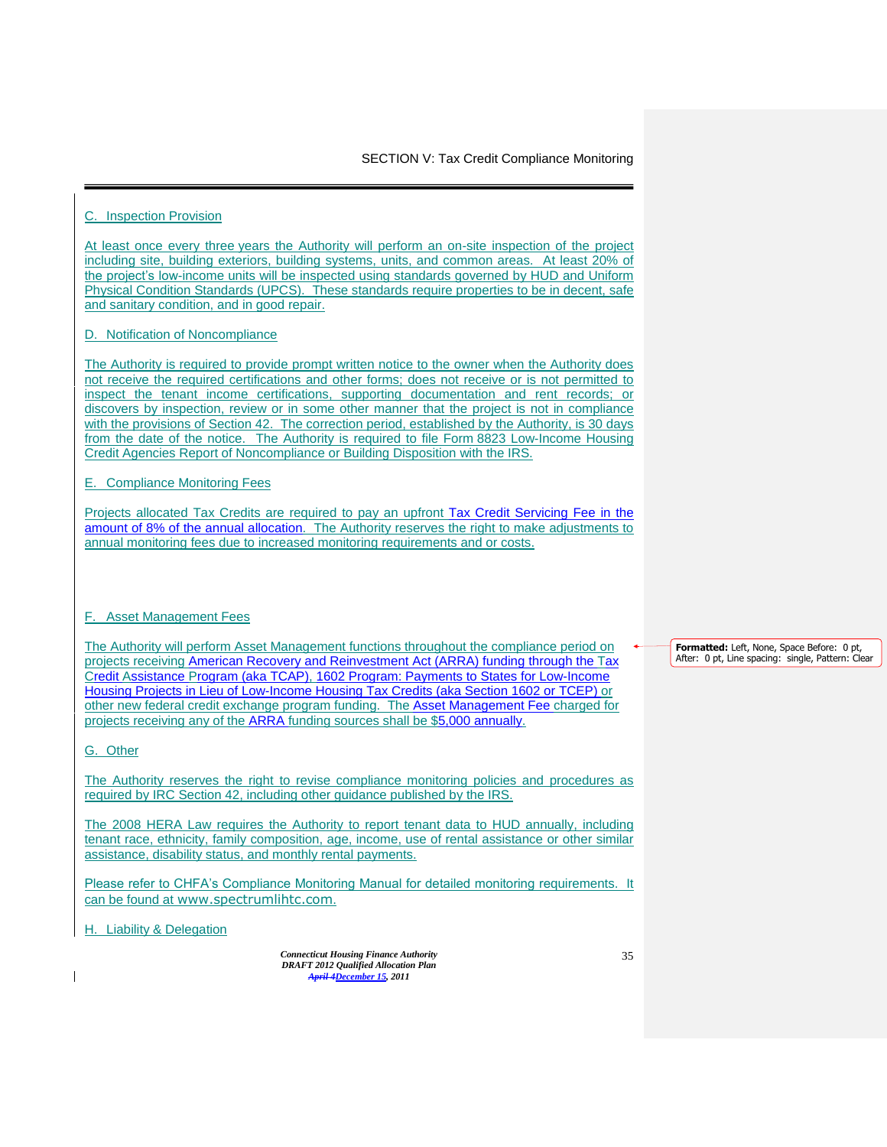## C. Inspection Provision

At least once every three years the Authority will perform an on-site inspection of the project including site, building exteriors, building systems, units, and common areas. At least 20% of the project's low-income units will be inspected using standards governed by HUD and Uniform Physical Condition Standards (UPCS). These standards require properties to be in decent, safe and sanitary condition, and in good repair.

#### D. Notification of Noncompliance

The Authority is required to provide prompt written notice to the owner when the Authority does not receive the required certifications and other forms; does not receive or is not permitted to inspect the tenant income certifications, supporting documentation and rent records; or discovers by inspection, review or in some other manner that the project is not in compliance with the provisions of Section 42. The correction period, established by the Authority, is 30 days from the date of the notice. The Authority is required to file Form 8823 Low-Income Housing Credit Agencies Report of Noncompliance or Building Disposition with the IRS.

#### E. Compliance Monitoring Fees

Projects allocated Tax Credits are required to pay an upfront Tax Credit Servicing Fee in the amount of 8% of the annual allocation. The Authority reserves the right to make adjustments to annual monitoring fees due to increased monitoring requirements and or costs.

#### F. Asset Management Fees

The Authority will perform Asset Management functions throughout the compliance period on projects receiving American Recovery and Reinvestment Act (ARRA) funding through the Tax Credit Assistance Program (aka TCAP), 1602 Program: Payments to States for Low-Income Housing Projects in Lieu of Low-Income Housing Tax Credits (aka Section 1602 or TCEP) or other new federal credit exchange program funding. The Asset Management Fee charged for projects receiving any of the ARRA funding sources shall be \$5,000 annually.

#### G. Other

 $\overline{\phantom{a}}$ 

The Authority reserves the right to revise compliance monitoring policies and procedures as required by IRC Section 42, including other guidance published by the IRS.

The 2008 HERA Law requires the Authority to report tenant data to HUD annually, including tenant race, ethnicity, family composition, age, income, use of rental assistance or other similar assistance, disability status, and monthly rental payments.

Please refer to CHFA's Compliance Monitoring Manual for detailed monitoring requirements. It can be found at [www.spectrumlihtc.com](http://www.spectrumlihtc.com/).

H. Liability & Delegation

*Connecticut Housing Finance Authority DRAFT 2012 Qualified Allocation Plan April 4December 15, 2011*

**Formatted:** Left, None, Space Before: 0 pt, After: 0 pt, Line spacing: single, Pattern: Clear